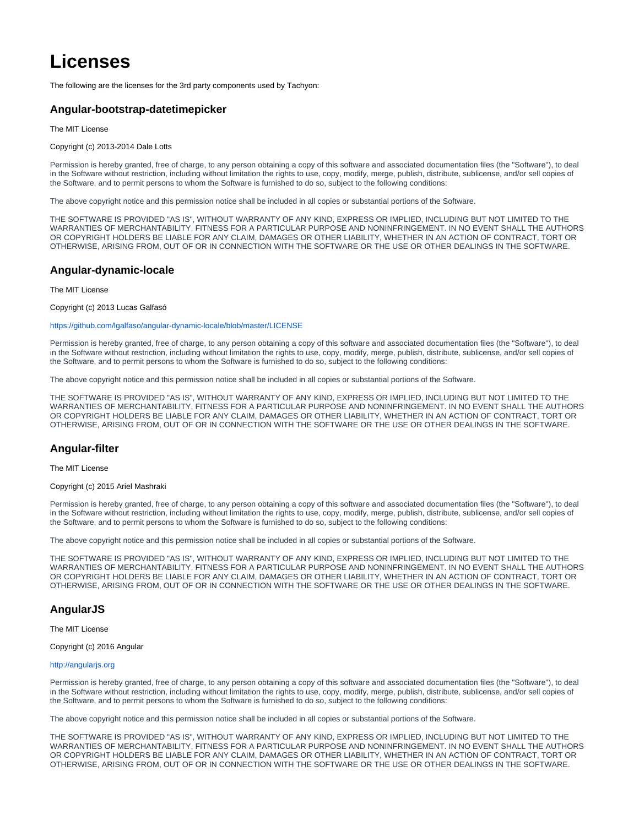# **Licenses**

The following are the licenses for the 3rd party components used by Tachyon:

# **Angular-bootstrap-datetimepicker**

The MIT License

Copyright (c) 2013-2014 Dale Lotts

Permission is hereby granted, free of charge, to any person obtaining a copy of this software and associated documentation files (the "Software"), to deal in the Software without restriction, including without limitation the rights to use, copy, modify, merge, publish, distribute, sublicense, and/or sell copies of the Software, and to permit persons to whom the Software is furnished to do so, subject to the following conditions:

The above copyright notice and this permission notice shall be included in all copies or substantial portions of the Software.

THE SOFTWARE IS PROVIDED "AS IS", WITHOUT WARRANTY OF ANY KIND, EXPRESS OR IMPLIED, INCLUDING BUT NOT LIMITED TO THE WARRANTIES OF MERCHANTABILITY, FITNESS FOR A PARTICULAR PURPOSE AND NONINFRINGEMENT. IN NO EVENT SHALL THE AUTHORS OR COPYRIGHT HOLDERS BE LIABLE FOR ANY CLAIM, DAMAGES OR OTHER LIABILITY, WHETHER IN AN ACTION OF CONTRACT, TORT OR OTHERWISE, ARISING FROM, OUT OF OR IN CONNECTION WITH THE SOFTWARE OR THE USE OR OTHER DEALINGS IN THE SOFTWARE.

# **Angular-dynamic-locale**

The MIT License

Copyright (c) 2013 Lucas Galfasó

### <https://github.com/lgalfaso/angular-dynamic-locale/blob/master/LICENSE>

Permission is hereby granted, free of charge, to any person obtaining a copy of this software and associated documentation files (the "Software"), to deal in the Software without restriction, including without limitation the rights to use, copy, modify, merge, publish, distribute, sublicense, and/or sell copies of the Software, and to permit persons to whom the Software is furnished to do so, subject to the following conditions:

The above copyright notice and this permission notice shall be included in all copies or substantial portions of the Software.

THE SOFTWARE IS PROVIDED "AS IS", WITHOUT WARRANTY OF ANY KIND, EXPRESS OR IMPLIED, INCLUDING BUT NOT LIMITED TO THE WARRANTIES OF MERCHANTABILITY, FITNESS FOR A PARTICULAR PURPOSE AND NONINFRINGEMENT. IN NO EVENT SHALL THE AUTHORS OR COPYRIGHT HOLDERS BE LIABLE FOR ANY CLAIM, DAMAGES OR OTHER LIABILITY, WHETHER IN AN ACTION OF CONTRACT, TORT OR OTHERWISE, ARISING FROM, OUT OF OR IN CONNECTION WITH THE SOFTWARE OR THE USE OR OTHER DEALINGS IN THE SOFTWARE.

# **Angular-filter**

The MIT License

Copyright (c) 2015 Ariel Mashraki

Permission is hereby granted, free of charge, to any person obtaining a copy of this software and associated documentation files (the "Software"), to deal in the Software without restriction, including without limitation the rights to use, copy, modify, merge, publish, distribute, sublicense, and/or sell copies of the Software, and to permit persons to whom the Software is furnished to do so, subject to the following conditions:

The above copyright notice and this permission notice shall be included in all copies or substantial portions of the Software.

THE SOFTWARE IS PROVIDED "AS IS", WITHOUT WARRANTY OF ANY KIND, EXPRESS OR IMPLIED, INCLUDING BUT NOT LIMITED TO THE WARRANTIES OF MERCHANTABILITY, FITNESS FOR A PARTICULAR PURPOSE AND NONINFRINGEMENT. IN NO EVENT SHALL THE AUTHORS OR COPYRIGHT HOLDERS BE LIABLE FOR ANY CLAIM, DAMAGES OR OTHER LIABILITY, WHETHER IN AN ACTION OF CONTRACT, TORT OR OTHERWISE, ARISING FROM, OUT OF OR IN CONNECTION WITH THE SOFTWARE OR THE USE OR OTHER DEALINGS IN THE SOFTWARE.

# **AngularJS**

The MIT License

Copyright (c) 2016 Angular

#### <http://angularjs.org>

Permission is hereby granted, free of charge, to any person obtaining a copy of this software and associated documentation files (the "Software"), to deal in the Software without restriction, including without limitation the rights to use, copy, modify, merge, publish, distribute, sublicense, and/or sell copies of the Software, and to permit persons to whom the Software is furnished to do so, subject to the following conditions:

The above copyright notice and this permission notice shall be included in all copies or substantial portions of the Software.

THE SOFTWARE IS PROVIDED "AS IS", WITHOUT WARRANTY OF ANY KIND, EXPRESS OR IMPLIED, INCLUDING BUT NOT LIMITED TO THE WARRANTIES OF MERCHANTABILITY, FITNESS FOR A PARTICULAR PURPOSE AND NONINFRINGEMENT. IN NO EVENT SHALL THE AUTHORS OR COPYRIGHT HOLDERS BE LIABLE FOR ANY CLAIM, DAMAGES OR OTHER LIABILITY, WHETHER IN AN ACTION OF CONTRACT, TORT OR OTHERWISE, ARISING FROM, OUT OF OR IN CONNECTION WITH THE SOFTWARE OR THE USE OR OTHER DEALINGS IN THE SOFTWARE.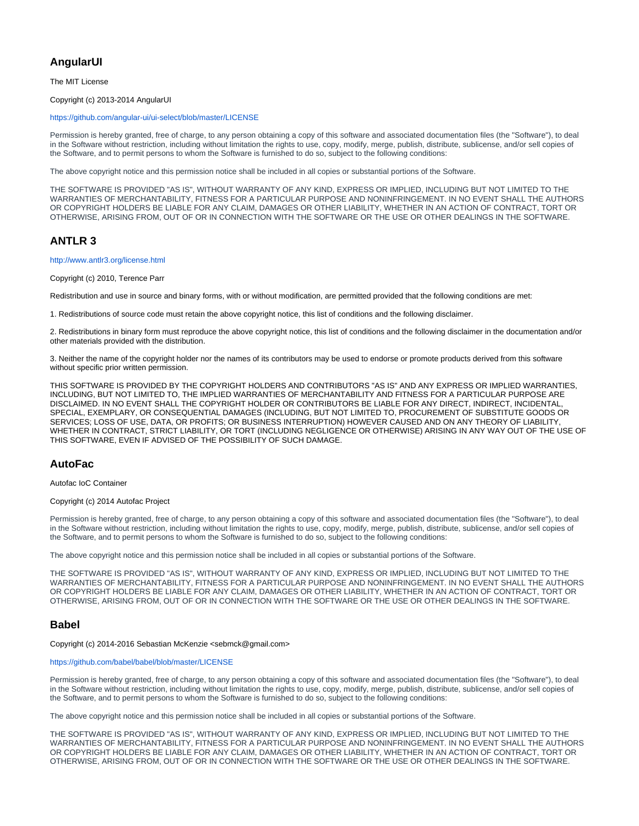# **AngularUI**

The MIT License

### Copyright (c) 2013-2014 AngularUI

#### <https://github.com/angular-ui/ui-select/blob/master/LICENSE>

Permission is hereby granted, free of charge, to any person obtaining a copy of this software and associated documentation files (the "Software"), to deal in the Software without restriction, including without limitation the rights to use, copy, modify, merge, publish, distribute, sublicense, and/or sell copies of the Software, and to permit persons to whom the Software is furnished to do so, subject to the following conditions:

The above copyright notice and this permission notice shall be included in all copies or substantial portions of the Software.

THE SOFTWARE IS PROVIDED "AS IS", WITHOUT WARRANTY OF ANY KIND, EXPRESS OR IMPLIED, INCLUDING BUT NOT LIMITED TO THE WARRANTIES OF MERCHANTABILITY, FITNESS FOR A PARTICULAR PURPOSE AND NONINFRINGEMENT. IN NO EVENT SHALL THE AUTHORS OR COPYRIGHT HOLDERS BE LIABLE FOR ANY CLAIM, DAMAGES OR OTHER LIABILITY, WHETHER IN AN ACTION OF CONTRACT, TORT OR OTHERWISE, ARISING FROM, OUT OF OR IN CONNECTION WITH THE SOFTWARE OR THE USE OR OTHER DEALINGS IN THE SOFTWARE.

# **ANTLR 3**

#### <http://www.antlr3.org/license.html>

Copyright (c) 2010, Terence Parr

Redistribution and use in source and binary forms, with or without modification, are permitted provided that the following conditions are met:

1. Redistributions of source code must retain the above copyright notice, this list of conditions and the following disclaimer.

2. Redistributions in binary form must reproduce the above copyright notice, this list of conditions and the following disclaimer in the documentation and/or other materials provided with the distribution.

3. Neither the name of the copyright holder nor the names of its contributors may be used to endorse or promote products derived from this software without specific prior written permission.

THIS SOFTWARE IS PROVIDED BY THE COPYRIGHT HOLDERS AND CONTRIBUTORS "AS IS" AND ANY EXPRESS OR IMPLIED WARRANTIES, INCLUDING, BUT NOT LIMITED TO, THE IMPLIED WARRANTIES OF MERCHANTABILITY AND FITNESS FOR A PARTICULAR PURPOSE ARE DISCLAIMED. IN NO EVENT SHALL THE COPYRIGHT HOLDER OR CONTRIBUTORS BE LIABLE FOR ANY DIRECT, INDIRECT, INCIDENTAL, SPECIAL, EXEMPLARY, OR CONSEQUENTIAL DAMAGES (INCLUDING, BUT NOT LIMITED TO, PROCUREMENT OF SUBSTITUTE GOODS OR SERVICES; LOSS OF USE, DATA, OR PROFITS; OR BUSINESS INTERRUPTION) HOWEVER CAUSED AND ON ANY THEORY OF LIABILITY, WHETHER IN CONTRACT, STRICT LIABILITY, OR TORT (INCLUDING NEGLIGENCE OR OTHERWISE) ARISING IN ANY WAY OUT OF THE USE OF THIS SOFTWARE, EVEN IF ADVISED OF THE POSSIBILITY OF SUCH DAMAGE.

# **AutoFac**

Autofac IoC Container

Copyright (c) 2014 Autofac Project

Permission is hereby granted, free of charge, to any person obtaining a copy of this software and associated documentation files (the "Software"), to deal in the Software without restriction, including without limitation the rights to use, copy, modify, merge, publish, distribute, sublicense, and/or sell copies of the Software, and to permit persons to whom the Software is furnished to do so, subject to the following conditions:

The above copyright notice and this permission notice shall be included in all copies or substantial portions of the Software.

THE SOFTWARE IS PROVIDED "AS IS", WITHOUT WARRANTY OF ANY KIND, EXPRESS OR IMPLIED, INCLUDING BUT NOT LIMITED TO THE WARRANTIES OF MERCHANTABILITY, FITNESS FOR A PARTICULAR PURPOSE AND NONINFRINGEMENT. IN NO EVENT SHALL THE AUTHORS OR COPYRIGHT HOLDERS BE LIABLE FOR ANY CLAIM, DAMAGES OR OTHER LIABILITY, WHETHER IN AN ACTION OF CONTRACT, TORT OR OTHERWISE, ARISING FROM, OUT OF OR IN CONNECTION WITH THE SOFTWARE OR THE USE OR OTHER DEALINGS IN THE SOFTWARE.

# **Babel**

Copyright (c) 2014-2016 Sebastian McKenzie <sebmck@gmail.com>

<https://github.com/babel/babel/blob/master/LICENSE>

Permission is hereby granted, free of charge, to any person obtaining a copy of this software and associated documentation files (the "Software"), to deal in the Software without restriction, including without limitation the rights to use, copy, modify, merge, publish, distribute, sublicense, and/or sell copies of the Software, and to permit persons to whom the Software is furnished to do so, subject to the following conditions:

The above copyright notice and this permission notice shall be included in all copies or substantial portions of the Software.

THE SOFTWARE IS PROVIDED "AS IS", WITHOUT WARRANTY OF ANY KIND, EXPRESS OR IMPLIED, INCLUDING BUT NOT LIMITED TO THE WARRANTIES OF MERCHANTABILITY, FITNESS FOR A PARTICULAR PURPOSE AND NONINFRINGEMENT. IN NO EVENT SHALL THE AUTHORS OR COPYRIGHT HOLDERS BE LIABLE FOR ANY CLAIM, DAMAGES OR OTHER LIABILITY, WHETHER IN AN ACTION OF CONTRACT, TORT OR OTHERWISE, ARISING FROM, OUT OF OR IN CONNECTION WITH THE SOFTWARE OR THE USE OR OTHER DEALINGS IN THE SOFTWARE.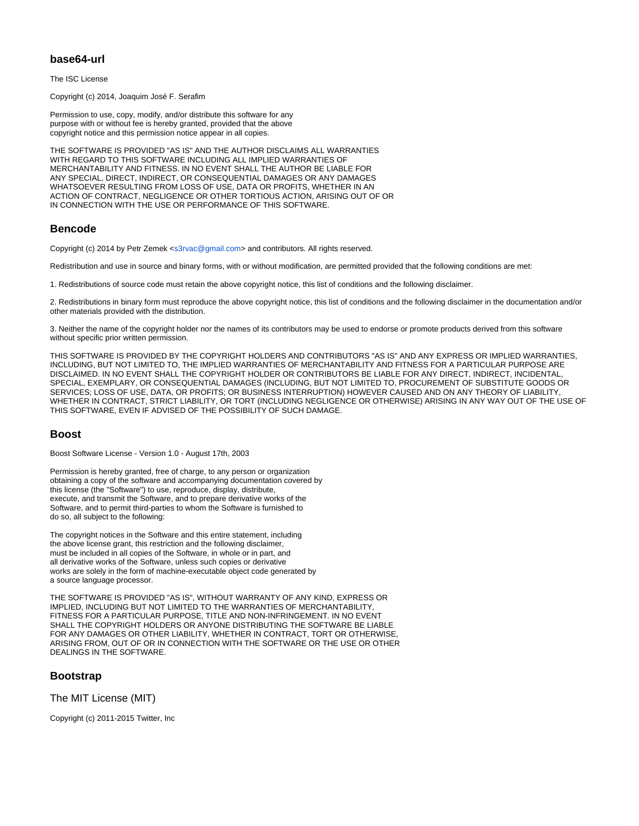# **base64-url**

The ISC License

Copyright (c) 2014, Joaquim José F. Serafim

Permission to use, copy, modify, and/or distribute this software for any purpose with or without fee is hereby granted, provided that the above copyright notice and this permission notice appear in all copies.

THE SOFTWARE IS PROVIDED "AS IS" AND THE AUTHOR DISCLAIMS ALL WARRANTIES WITH REGARD TO THIS SOFTWARE INCLUDING ALL IMPLIED WARRANTIES OF MERCHANTABILITY AND FITNESS. IN NO EVENT SHALL THE AUTHOR BE LIABLE FOR ANY SPECIAL, DIRECT, INDIRECT, OR CONSEQUENTIAL DAMAGES OR ANY DAMAGES WHATSOEVER RESULTING FROM LOSS OF USE, DATA OR PROFITS, WHETHER IN AN ACTION OF CONTRACT, NEGLIGENCE OR OTHER TORTIOUS ACTION, ARISING OUT OF OR IN CONNECTION WITH THE USE OR PERFORMANCE OF THIS SOFTWARE.

# **Bencode**

Copyright (c) 2014 by Petr Zemek [<s3rvac@gmail.com>](mailto:s3rvac@gmail.com) and contributors. All rights reserved.

Redistribution and use in source and binary forms, with or without modification, are permitted provided that the following conditions are met:

1. Redistributions of source code must retain the above copyright notice, this list of conditions and the following disclaimer.

2. Redistributions in binary form must reproduce the above copyright notice, this list of conditions and the following disclaimer in the documentation and/or other materials provided with the distribution.

3. Neither the name of the copyright holder nor the names of its contributors may be used to endorse or promote products derived from this software without specific prior written permission.

THIS SOFTWARE IS PROVIDED BY THE COPYRIGHT HOLDERS AND CONTRIBUTORS "AS IS" AND ANY EXPRESS OR IMPLIED WARRANTIES, INCLUDING, BUT NOT LIMITED TO, THE IMPLIED WARRANTIES OF MERCHANTABILITY AND FITNESS FOR A PARTICULAR PURPOSE ARE DISCLAIMED. IN NO EVENT SHALL THE COPYRIGHT HOLDER OR CONTRIBUTORS BE LIABLE FOR ANY DIRECT, INDIRECT, INCIDENTAL, SPECIAL, EXEMPLARY, OR CONSEQUENTIAL DAMAGES (INCLUDING, BUT NOT LIMITED TO, PROCUREMENT OF SUBSTITUTE GOODS OR SERVICES; LOSS OF USE, DATA, OR PROFITS; OR BUSINESS INTERRUPTION) HOWEVER CAUSED AND ON ANY THEORY OF LIABILITY, WHETHER IN CONTRACT, STRICT LIABILITY, OR TORT (INCLUDING NEGLIGENCE OR OTHERWISE) ARISING IN ANY WAY OUT OF THE USE OF THIS SOFTWARE, EVEN IF ADVISED OF THE POSSIBILITY OF SUCH DAMAGE.

# **Boost**

Boost Software License - Version 1.0 - August 17th, 2003

Permission is hereby granted, free of charge, to any person or organization obtaining a copy of the software and accompanying documentation covered by this license (the "Software") to use, reproduce, display, distribute, execute, and transmit the Software, and to prepare derivative works of the Software, and to permit third-parties to whom the Software is furnished to do so, all subject to the following:

The copyright notices in the Software and this entire statement, including the above license grant, this restriction and the following disclaimer, must be included in all copies of the Software, in whole or in part, and all derivative works of the Software, unless such copies or derivative works are solely in the form of machine-executable object code generated by a source language processor.

THE SOFTWARE IS PROVIDED "AS IS", WITHOUT WARRANTY OF ANY KIND, EXPRESS OR IMPLIED, INCLUDING BUT NOT LIMITED TO THE WARRANTIES OF MERCHANTABILITY, FITNESS FOR A PARTICULAR PURPOSE, TITLE AND NON-INFRINGEMENT. IN NO EVENT SHALL THE COPYRIGHT HOLDERS OR ANYONE DISTRIBUTING THE SOFTWARE BE LIABLE FOR ANY DAMAGES OR OTHER LIABILITY, WHETHER IN CONTRACT, TORT OR OTHERWISE, ARISING FROM, OUT OF OR IN CONNECTION WITH THE SOFTWARE OR THE USE OR OTHER DEALINGS IN THE SOFTWARE.

# **Bootstrap**

The MIT License (MIT)

Copyright (c) 2011-2015 Twitter, Inc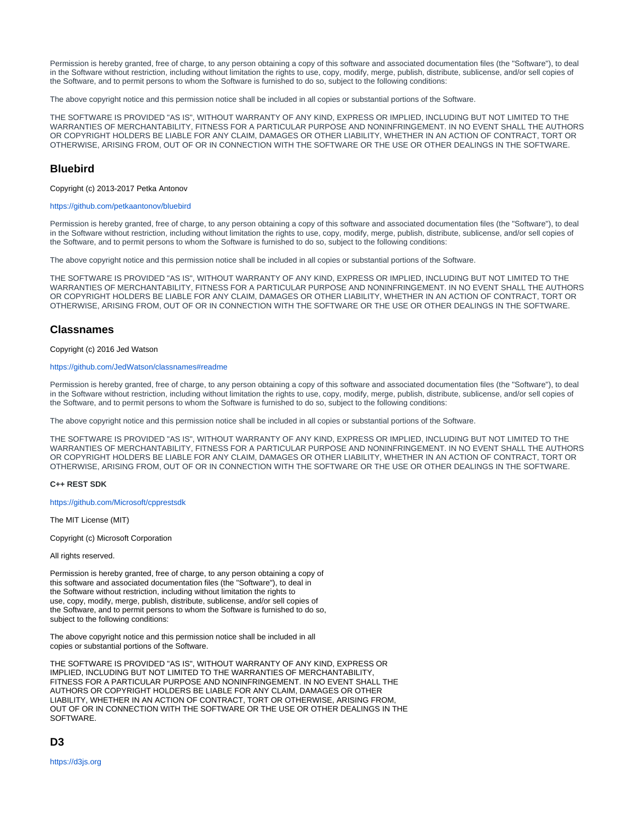Permission is hereby granted, free of charge, to any person obtaining a copy of this software and associated documentation files (the "Software"), to deal in the Software without restriction, including without limitation the rights to use, copy, modify, merge, publish, distribute, sublicense, and/or sell copies of the Software, and to permit persons to whom the Software is furnished to do so, subject to the following conditions:

The above copyright notice and this permission notice shall be included in all copies or substantial portions of the Software.

THE SOFTWARE IS PROVIDED "AS IS", WITHOUT WARRANTY OF ANY KIND, EXPRESS OR IMPLIED, INCLUDING BUT NOT LIMITED TO THE WARRANTIES OF MERCHANTABILITY, FITNESS FOR A PARTICULAR PURPOSE AND NONINFRINGEMENT. IN NO EVENT SHALL THE AUTHORS OR COPYRIGHT HOLDERS BE LIABLE FOR ANY CLAIM, DAMAGES OR OTHER LIABILITY, WHETHER IN AN ACTION OF CONTRACT, TORT OR OTHERWISE, ARISING FROM, OUT OF OR IN CONNECTION WITH THE SOFTWARE OR THE USE OR OTHER DEALINGS IN THE SOFTWARE.

# **Bluebird**

Copyright (c) 2013-2017 Petka Antonov

#### <https://github.com/petkaantonov/bluebird>

Permission is hereby granted, free of charge, to any person obtaining a copy of this software and associated documentation files (the "Software"), to deal in the Software without restriction, including without limitation the rights to use, copy, modify, merge, publish, distribute, sublicense, and/or sell copies of the Software, and to permit persons to whom the Software is furnished to do so, subject to the following conditions:

The above copyright notice and this permission notice shall be included in all copies or substantial portions of the Software.

THE SOFTWARE IS PROVIDED "AS IS", WITHOUT WARRANTY OF ANY KIND, EXPRESS OR IMPLIED, INCLUDING BUT NOT LIMITED TO THE WARRANTIES OF MERCHANTABILITY, FITNESS FOR A PARTICULAR PURPOSE AND NONINFRINGEMENT. IN NO EVENT SHALL THE AUTHORS OR COPYRIGHT HOLDERS BE LIABLE FOR ANY CLAIM, DAMAGES OR OTHER LIABILITY, WHETHER IN AN ACTION OF CONTRACT, TORT OR OTHERWISE, ARISING FROM, OUT OF OR IN CONNECTION WITH THE SOFTWARE OR THE USE OR OTHER DEALINGS IN THE SOFTWARE.

### **Classnames**

Copyright (c) 2016 Jed Watson

#### <https://github.com/JedWatson/classnames#readme>

Permission is hereby granted, free of charge, to any person obtaining a copy of this software and associated documentation files (the "Software"), to deal in the Software without restriction, including without limitation the rights to use, copy, modify, merge, publish, distribute, sublicense, and/or sell copies of the Software, and to permit persons to whom the Software is furnished to do so, subject to the following conditions:

The above copyright notice and this permission notice shall be included in all copies or substantial portions of the Software.

THE SOFTWARE IS PROVIDED "AS IS", WITHOUT WARRANTY OF ANY KIND, EXPRESS OR IMPLIED, INCLUDING BUT NOT LIMITED TO THE WARRANTIES OF MERCHANTABILITY, FITNESS FOR A PARTICULAR PURPOSE AND NONINFRINGEMENT. IN NO EVENT SHALL THE AUTHORS OR COPYRIGHT HOLDERS BE LIABLE FOR ANY CLAIM, DAMAGES OR OTHER LIABILITY, WHETHER IN AN ACTION OF CONTRACT, TORT OR OTHERWISE, ARISING FROM, OUT OF OR IN CONNECTION WITH THE SOFTWARE OR THE USE OR OTHER DEALINGS IN THE SOFTWARE.

#### **C++ REST SDK**

<https://github.com/Microsoft/cpprestsdk>

The MIT License (MIT)

Copyright (c) Microsoft Corporation

All rights reserved.

Permission is hereby granted, free of charge, to any person obtaining a copy of this software and associated documentation files (the "Software"), to deal in the Software without restriction, including without limitation the rights to use, copy, modify, merge, publish, distribute, sublicense, and/or sell copies of the Software, and to permit persons to whom the Software is furnished to do so, subject to the following conditions:

The above copyright notice and this permission notice shall be included in all copies or substantial portions of the Software.

THE SOFTWARE IS PROVIDED "AS IS", WITHOUT WARRANTY OF ANY KIND, EXPRESS OR IMPLIED, INCLUDING BUT NOT LIMITED TO THE WARRANTIES OF MERCHANTABILITY, FITNESS FOR A PARTICULAR PURPOSE AND NONINFRINGEMENT. IN NO EVENT SHALL THE AUTHORS OR COPYRIGHT HOLDERS BE LIABLE FOR ANY CLAIM, DAMAGES OR OTHER LIABILITY, WHETHER IN AN ACTION OF CONTRACT, TORT OR OTHERWISE, ARISING FROM, OUT OF OR IN CONNECTION WITH THE SOFTWARE OR THE USE OR OTHER DEALINGS IN THE SOFTWARE.

**D3**

<https://d3js.org>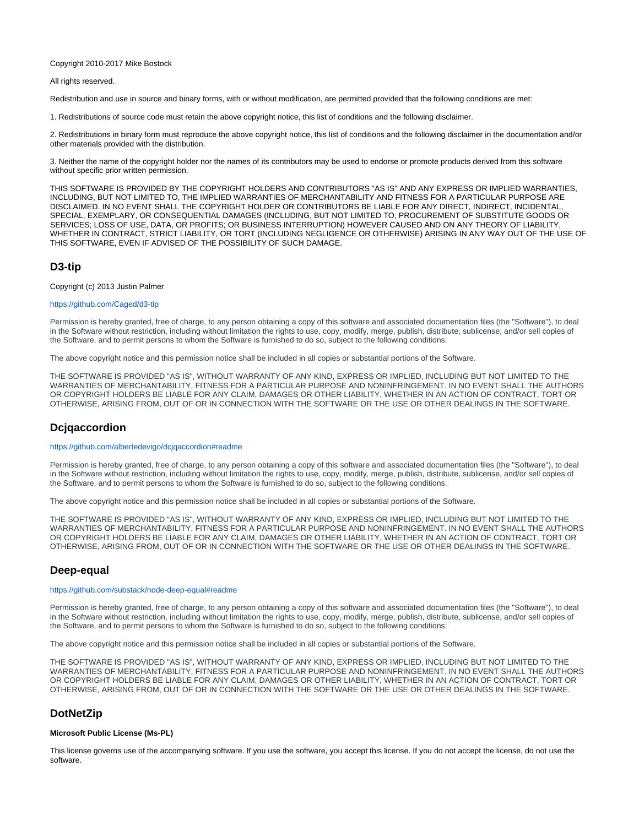#### Copyright 2010-2017 Mike Bostock

#### All rights reserved.

Redistribution and use in source and binary forms, with or without modification, are permitted provided that the following conditions are met:

1. Redistributions of source code must retain the above copyright notice, this list of conditions and the following disclaimer.

2. Redistributions in binary form must reproduce the above copyright notice, this list of conditions and the following disclaimer in the documentation and/or other materials provided with the distribution.

3. Neither the name of the copyright holder nor the names of its contributors may be used to endorse or promote products derived from this software without specific prior written permission.

THIS SOFTWARE IS PROVIDED BY THE COPYRIGHT HOLDERS AND CONTRIBUTORS "AS IS" AND ANY EXPRESS OR IMPLIED WARRANTIES, INCLUDING, BUT NOT LIMITED TO, THE IMPLIED WARRANTIES OF MERCHANTABILITY AND FITNESS FOR A PARTICULAR PURPOSE ARE DISCLAIMED. IN NO EVENT SHALL THE COPYRIGHT HOLDER OR CONTRIBUTORS BE LIABLE FOR ANY DIRECT, INDIRECT, INCIDENTAL, SPECIAL, EXEMPLARY, OR CONSEQUENTIAL DAMAGES (INCLUDING, BUT NOT LIMITED TO, PROCUREMENT OF SUBSTITUTE GOODS OR SERVICES; LOSS OF USE, DATA, OR PROFITS; OR BUSINESS INTERRUPTION) HOWEVER CAUSED AND ON ANY THEORY OF LIABILITY, WHETHER IN CONTRACT, STRICT LIABILITY, OR TORT (INCLUDING NEGLIGENCE OR OTHERWISE) ARISING IN ANY WAY OUT OF THE USE OF THIS SOFTWARE, EVEN IF ADVISED OF THE POSSIBILITY OF SUCH DAMAGE.

# **D3-tip**

Copyright (c) 2013 Justin Palmer

### <https://github.com/Caged/d3-tip>

Permission is hereby granted, free of charge, to any person obtaining a copy of this software and associated documentation files (the "Software"), to deal in the Software without restriction, including without limitation the rights to use, copy, modify, merge, publish, distribute, sublicense, and/or sell copies of the Software, and to permit persons to whom the Software is furnished to do so, subject to the following conditions:

The above copyright notice and this permission notice shall be included in all copies or substantial portions of the Software.

THE SOFTWARE IS PROVIDED "AS IS", WITHOUT WARRANTY OF ANY KIND, EXPRESS OR IMPLIED, INCLUDING BUT NOT LIMITED TO THE WARRANTIES OF MERCHANTABILITY, FITNESS FOR A PARTICULAR PURPOSE AND NONINFRINGEMENT. IN NO EVENT SHALL THE AUTHORS OR COPYRIGHT HOLDERS BE LIABLE FOR ANY CLAIM, DAMAGES OR OTHER LIABILITY, WHETHER IN AN ACTION OF CONTRACT, TORT OR OTHERWISE, ARISING FROM, OUT OF OR IN CONNECTION WITH THE SOFTWARE OR THE USE OR OTHER DEALINGS IN THE SOFTWARE.

# **Dcjqaccordion**

#### <https://github.com/albertedevigo/dcjqaccordion#readme>

Permission is hereby granted, free of charge, to any person obtaining a copy of this software and associated documentation files (the "Software"), to deal in the Software without restriction, including without limitation the rights to use, copy, modify, merge, publish, distribute, sublicense, and/or sell copies of the Software, and to permit persons to whom the Software is furnished to do so, subject to the following conditions:

The above copyright notice and this permission notice shall be included in all copies or substantial portions of the Software.

THE SOFTWARE IS PROVIDED "AS IS", WITHOUT WARRANTY OF ANY KIND, EXPRESS OR IMPLIED, INCLUDING BUT NOT LIMITED TO THE WARRANTIES OF MERCHANTABILITY, FITNESS FOR A PARTICULAR PURPOSE AND NONINFRINGEMENT. IN NO EVENT SHALL THE AUTHORS OR COPYRIGHT HOLDERS BE LIABLE FOR ANY CLAIM, DAMAGES OR OTHER LIABILITY, WHETHER IN AN ACTION OF CONTRACT, TORT OR OTHERWISE, ARISING FROM, OUT OF OR IN CONNECTION WITH THE SOFTWARE OR THE USE OR OTHER DEALINGS IN THE SOFTWARE.

# **Deep-equal**

#### <https://github.com/substack/node-deep-equal#readme>

Permission is hereby granted, free of charge, to any person obtaining a copy of this software and associated documentation files (the "Software"), to deal in the Software without restriction, including without limitation the rights to use, copy, modify, merge, publish, distribute, sublicense, and/or sell copies of the Software, and to permit persons to whom the Software is furnished to do so, subject to the following conditions:

The above copyright notice and this permission notice shall be included in all copies or substantial portions of the Software.

THE SOFTWARE IS PROVIDED "AS IS", WITHOUT WARRANTY OF ANY KIND, EXPRESS OR IMPLIED, INCLUDING BUT NOT LIMITED TO THE WARRANTIES OF MERCHANTABILITY, FITNESS FOR A PARTICULAR PURPOSE AND NONINFRINGEMENT. IN NO EVENT SHALL THE AUTHORS OR COPYRIGHT HOLDERS BE LIABLE FOR ANY CLAIM, DAMAGES OR OTHER LIABILITY, WHETHER IN AN ACTION OF CONTRACT, TORT OR OTHERWISE, ARISING FROM, OUT OF OR IN CONNECTION WITH THE SOFTWARE OR THE USE OR OTHER DEALINGS IN THE SOFTWARE.

# **DotNetZip**

#### **Microsoft Public License (Ms-PL)**

This license governs use of the accompanying software. If you use the software, you accept this license. If you do not accept the license, do not use the software.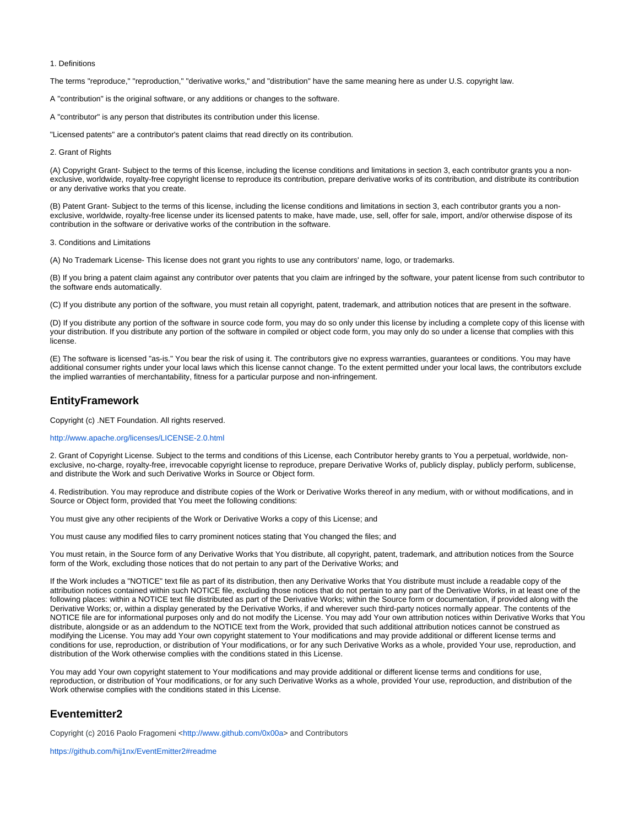#### 1. Definitions

The terms "reproduce," "reproduction," "derivative works," and "distribution" have the same meaning here as under U.S. copyright law.

A "contribution" is the original software, or any additions or changes to the software.

A "contributor" is any person that distributes its contribution under this license.

"Licensed patents" are a contributor's patent claims that read directly on its contribution.

2. Grant of Rights

(A) Copyright Grant- Subject to the terms of this license, including the license conditions and limitations in section 3, each contributor grants you a nonexclusive, worldwide, royalty-free copyright license to reproduce its contribution, prepare derivative works of its contribution, and distribute its contribution or any derivative works that you create.

(B) Patent Grant- Subject to the terms of this license, including the license conditions and limitations in section 3, each contributor grants you a nonexclusive, worldwide, royalty-free license under its licensed patents to make, have made, use, sell, offer for sale, import, and/or otherwise dispose of its contribution in the software or derivative works of the contribution in the software.

3. Conditions and Limitations

(A) No Trademark License- This license does not grant you rights to use any contributors' name, logo, or trademarks.

(B) If you bring a patent claim against any contributor over patents that you claim are infringed by the software, your patent license from such contributor to the software ends automatically.

(C) If you distribute any portion of the software, you must retain all copyright, patent, trademark, and attribution notices that are present in the software.

(D) If you distribute any portion of the software in source code form, you may do so only under this license by including a complete copy of this license with your distribution. If you distribute any portion of the software in compiled or object code form, you may only do so under a license that complies with this license.

(E) The software is licensed "as-is." You bear the risk of using it. The contributors give no express warranties, guarantees or conditions. You may have additional consumer rights under your local laws which this license cannot change. To the extent permitted under your local laws, the contributors exclude the implied warranties of merchantability, fitness for a particular purpose and non-infringement.

# **EntityFramework**

Copyright (c) .NET Foundation. All rights reserved.

#### <http://www.apache.org/licenses/LICENSE-2.0.html>

2. Grant of Copyright License. Subject to the terms and conditions of this License, each Contributor hereby grants to You a perpetual, worldwide, nonexclusive, no-charge, royalty-free, irrevocable copyright license to reproduce, prepare Derivative Works of, publicly display, publicly perform, sublicense, and distribute the Work and such Derivative Works in Source or Object form.

4. Redistribution. You may reproduce and distribute copies of the Work or Derivative Works thereof in any medium, with or without modifications, and in Source or Object form, provided that You meet the following conditions:

You must give any other recipients of the Work or Derivative Works a copy of this License; and

You must cause any modified files to carry prominent notices stating that You changed the files; and

You must retain, in the Source form of any Derivative Works that You distribute, all copyright, patent, trademark, and attribution notices from the Source form of the Work, excluding those notices that do not pertain to any part of the Derivative Works; and

If the Work includes a "NOTICE" text file as part of its distribution, then any Derivative Works that You distribute must include a readable copy of the attribution notices contained within such NOTICE file, excluding those notices that do not pertain to any part of the Derivative Works, in at least one of the following places: within a NOTICE text file distributed as part of the Derivative Works; within the Source form or documentation, if provided along with the Derivative Works; or, within a display generated by the Derivative Works, if and wherever such third-party notices normally appear. The contents of the NOTICE file are for informational purposes only and do not modify the License. You may add Your own attribution notices within Derivative Works that You distribute, alongside or as an addendum to the NOTICE text from the Work, provided that such additional attribution notices cannot be construed as modifying the License. You may add Your own copyright statement to Your modifications and may provide additional or different license terms and conditions for use, reproduction, or distribution of Your modifications, or for any such Derivative Works as a whole, provided Your use, reproduction, and distribution of the Work otherwise complies with the conditions stated in this License.

You may add Your own copyright statement to Your modifications and may provide additional or different license terms and conditions for use, reproduction, or distribution of Your modifications, or for any such Derivative Works as a whole, provided Your use, reproduction, and distribution of the Work otherwise complies with the conditions stated in this License.

# **Eventemitter2**

Copyright (c) 2016 Paolo Fragomeni [<http://www.github.com/0x00a>](http://www.github.com/0x00a) and Contributors

<https://github.com/hij1nx/EventEmitter2#readme>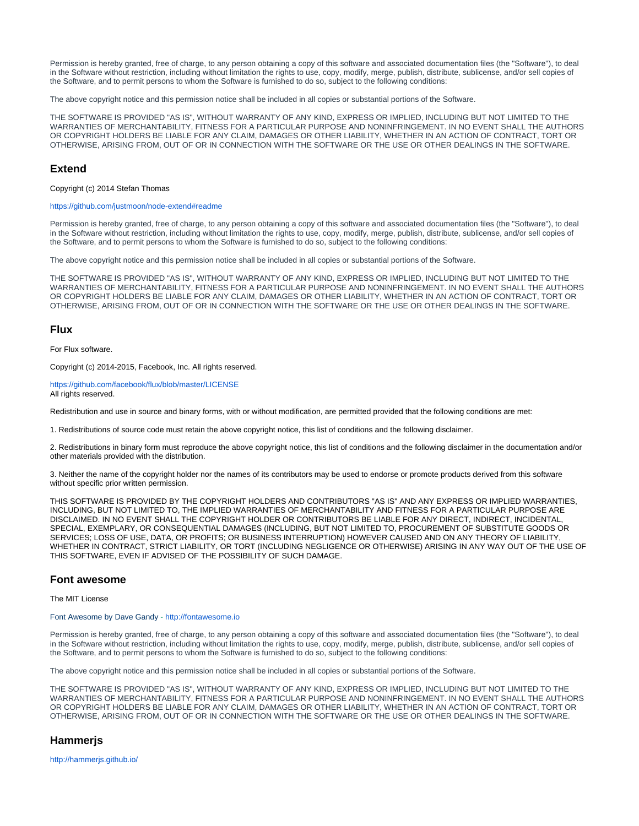Permission is hereby granted, free of charge, to any person obtaining a copy of this software and associated documentation files (the "Software"), to deal in the Software without restriction, including without limitation the rights to use, copy, modify, merge, publish, distribute, sublicense, and/or sell copies of the Software, and to permit persons to whom the Software is furnished to do so, subject to the following conditions:

The above copyright notice and this permission notice shall be included in all copies or substantial portions of the Software.

THE SOFTWARE IS PROVIDED "AS IS", WITHOUT WARRANTY OF ANY KIND, EXPRESS OR IMPLIED, INCLUDING BUT NOT LIMITED TO THE WARRANTIES OF MERCHANTABILITY, FITNESS FOR A PARTICULAR PURPOSE AND NONINFRINGEMENT. IN NO EVENT SHALL THE AUTHORS OR COPYRIGHT HOLDERS BE LIABLE FOR ANY CLAIM, DAMAGES OR OTHER LIABILITY, WHETHER IN AN ACTION OF CONTRACT, TORT OR OTHERWISE, ARISING FROM, OUT OF OR IN CONNECTION WITH THE SOFTWARE OR THE USE OR OTHER DEALINGS IN THE SOFTWARE.

## **Extend**

Copyright (c) 2014 Stefan Thomas

#### <https://github.com/justmoon/node-extend#readme>

Permission is hereby granted, free of charge, to any person obtaining a copy of this software and associated documentation files (the "Software"), to deal in the Software without restriction, including without limitation the rights to use, copy, modify, merge, publish, distribute, sublicense, and/or sell copies of the Software, and to permit persons to whom the Software is furnished to do so, subject to the following conditions:

The above copyright notice and this permission notice shall be included in all copies or substantial portions of the Software.

THE SOFTWARE IS PROVIDED "AS IS", WITHOUT WARRANTY OF ANY KIND, EXPRESS OR IMPLIED, INCLUDING BUT NOT LIMITED TO THE WARRANTIES OF MERCHANTABILITY, FITNESS FOR A PARTICULAR PURPOSE AND NONINFRINGEMENT. IN NO EVENT SHALL THE AUTHORS OR COPYRIGHT HOLDERS BE LIABLE FOR ANY CLAIM, DAMAGES OR OTHER LIABILITY, WHETHER IN AN ACTION OF CONTRACT, TORT OR OTHERWISE, ARISING FROM, OUT OF OR IN CONNECTION WITH THE SOFTWARE OR THE USE OR OTHER DEALINGS IN THE SOFTWARE.

### **Flux**

For Flux software.

Copyright (c) 2014-2015, Facebook, Inc. All rights reserved.

#### <https://github.com/facebook/flux/blob/master/LICENSE> All rights reserved.

Redistribution and use in source and binary forms, with or without modification, are permitted provided that the following conditions are met:

1. Redistributions of source code must retain the above copyright notice, this list of conditions and the following disclaimer.

2. Redistributions in binary form must reproduce the above copyright notice, this list of conditions and the following disclaimer in the documentation and/or other materials provided with the distribution.

3. Neither the name of the copyright holder nor the names of its contributors may be used to endorse or promote products derived from this software without specific prior written permission.

THIS SOFTWARE IS PROVIDED BY THE COPYRIGHT HOLDERS AND CONTRIBUTORS "AS IS" AND ANY EXPRESS OR IMPLIED WARRANTIES, INCLUDING, BUT NOT LIMITED TO, THE IMPLIED WARRANTIES OF MERCHANTABILITY AND FITNESS FOR A PARTICULAR PURPOSE ARE DISCLAIMED. IN NO EVENT SHALL THE COPYRIGHT HOLDER OR CONTRIBUTORS BE LIABLE FOR ANY DIRECT, INDIRECT, INCIDENTAL, SPECIAL, EXEMPLARY, OR CONSEQUENTIAL DAMAGES (INCLUDING, BUT NOT LIMITED TO, PROCUREMENT OF SUBSTITUTE GOODS OR SERVICES; LOSS OF USE, DATA, OR PROFITS; OR BUSINESS INTERRUPTION) HOWEVER CAUSED AND ON ANY THEORY OF LIABILITY, WHETHER IN CONTRACT, STRICT LIABILITY, OR TORT (INCLUDING NEGLIGENCE OR OTHERWISE) ARISING IN ANY WAY OUT OF THE USE OF THIS SOFTWARE, EVEN IF ADVISED OF THE POSSIBILITY OF SUCH DAMAGE.

# **Font awesome**

The MIT License

#### Font Awesome by Dave Gandy -<http://fontawesome.io>

Permission is hereby granted, free of charge, to any person obtaining a copy of this software and associated documentation files (the "Software"), to deal in the Software without restriction, including without limitation the rights to use, copy, modify, merge, publish, distribute, sublicense, and/or sell copies of the Software, and to permit persons to whom the Software is furnished to do so, subject to the following conditions:

The above copyright notice and this permission notice shall be included in all copies or substantial portions of the Software.

THE SOFTWARE IS PROVIDED "AS IS", WITHOUT WARRANTY OF ANY KIND, EXPRESS OR IMPLIED, INCLUDING BUT NOT LIMITED TO THE WARRANTIES OF MERCHANTABILITY, FITNESS FOR A PARTICULAR PURPOSE AND NONINFRINGEMENT. IN NO EVENT SHALL THE AUTHORS OR COPYRIGHT HOLDERS BE LIABLE FOR ANY CLAIM, DAMAGES OR OTHER LIABILITY, WHETHER IN AN ACTION OF CONTRACT, TORT OR OTHERWISE, ARISING FROM, OUT OF OR IN CONNECTION WITH THE SOFTWARE OR THE USE OR OTHER DEALINGS IN THE SOFTWARE.

# **Hammerjs**

<http://hammerjs.github.io/>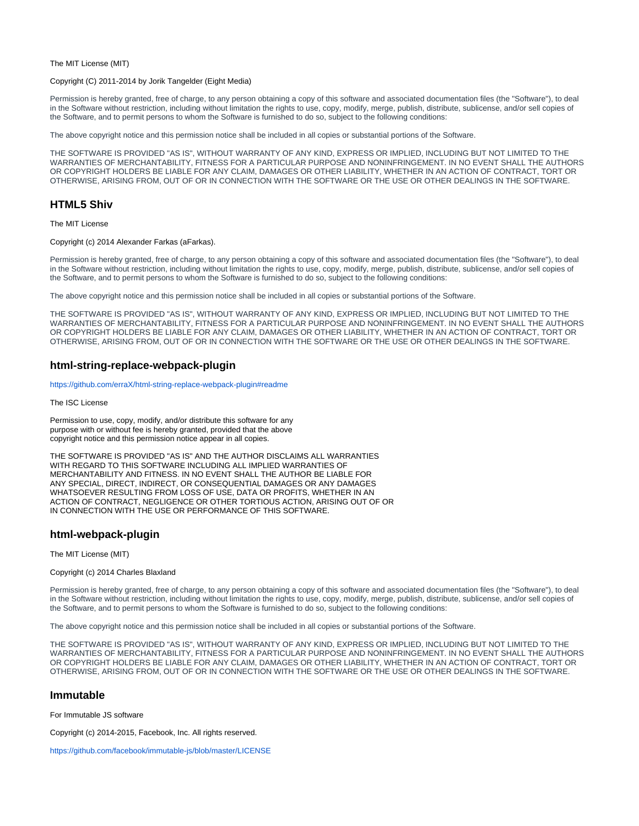The MIT License (MIT)

#### Copyright (C) 2011-2014 by Jorik Tangelder (Eight Media)

Permission is hereby granted, free of charge, to any person obtaining a copy of this software and associated documentation files (the "Software"), to deal in the Software without restriction, including without limitation the rights to use, copy, modify, merge, publish, distribute, sublicense, and/or sell copies of the Software, and to permit persons to whom the Software is furnished to do so, subject to the following conditions:

The above copyright notice and this permission notice shall be included in all copies or substantial portions of the Software.

THE SOFTWARE IS PROVIDED "AS IS", WITHOUT WARRANTY OF ANY KIND, EXPRESS OR IMPLIED, INCLUDING BUT NOT LIMITED TO THE WARRANTIES OF MERCHANTABILITY, FITNESS FOR A PARTICULAR PURPOSE AND NONINFRINGEMENT. IN NO EVENT SHALL THE AUTHORS OR COPYRIGHT HOLDERS BE LIABLE FOR ANY CLAIM, DAMAGES OR OTHER LIABILITY, WHETHER IN AN ACTION OF CONTRACT, TORT OR OTHERWISE, ARISING FROM, OUT OF OR IN CONNECTION WITH THE SOFTWARE OR THE USE OR OTHER DEALINGS IN THE SOFTWARE.

# **HTML5 Shiv**

The MIT License

Copyright (c) 2014 Alexander Farkas (aFarkas).

Permission is hereby granted, free of charge, to any person obtaining a copy of this software and associated documentation files (the "Software"), to deal in the Software without restriction, including without limitation the rights to use, copy, modify, merge, publish, distribute, sublicense, and/or sell copies of the Software, and to permit persons to whom the Software is furnished to do so, subject to the following conditions:

The above copyright notice and this permission notice shall be included in all copies or substantial portions of the Software.

THE SOFTWARE IS PROVIDED "AS IS", WITHOUT WARRANTY OF ANY KIND, EXPRESS OR IMPLIED, INCLUDING BUT NOT LIMITED TO THE WARRANTIES OF MERCHANTABILITY, FITNESS FOR A PARTICULAR PURPOSE AND NONINFRINGEMENT. IN NO EVENT SHALL THE AUTHORS OR COPYRIGHT HOLDERS BE LIABLE FOR ANY CLAIM, DAMAGES OR OTHER LIABILITY, WHETHER IN AN ACTION OF CONTRACT, TORT OR OTHERWISE, ARISING FROM, OUT OF OR IN CONNECTION WITH THE SOFTWARE OR THE USE OR OTHER DEALINGS IN THE SOFTWARE.

# **html-string-replace-webpack-plugin**

<https://github.com/erraX/html-string-replace-webpack-plugin#readme>

The ISC License

Permission to use, copy, modify, and/or distribute this software for any purpose with or without fee is hereby granted, provided that the above copyright notice and this permission notice appear in all copies.

THE SOFTWARE IS PROVIDED "AS IS" AND THE AUTHOR DISCLAIMS ALL WARRANTIES WITH REGARD TO THIS SOFTWARE INCLUDING ALL IMPLIED WARRANTIES OF MERCHANTABILITY AND FITNESS. IN NO EVENT SHALL THE AUTHOR BE LIABLE FOR ANY SPECIAL, DIRECT, INDIRECT, OR CONSEQUENTIAL DAMAGES OR ANY DAMAGES WHATSOEVER RESULTING FROM LOSS OF USE, DATA OR PROFITS, WHETHER IN AN ACTION OF CONTRACT, NEGLIGENCE OR OTHER TORTIOUS ACTION, ARISING OUT OF OR IN CONNECTION WITH THE USE OR PERFORMANCE OF THIS SOFTWARE.

# **html-webpack-plugin**

The MIT License (MIT)

#### Copyright (c) 2014 Charles Blaxland

Permission is hereby granted, free of charge, to any person obtaining a copy of this software and associated documentation files (the "Software"), to deal in the Software without restriction, including without limitation the rights to use, copy, modify, merge, publish, distribute, sublicense, and/or sell copies of the Software, and to permit persons to whom the Software is furnished to do so, subject to the following conditions:

The above copyright notice and this permission notice shall be included in all copies or substantial portions of the Software.

THE SOFTWARE IS PROVIDED "AS IS", WITHOUT WARRANTY OF ANY KIND, EXPRESS OR IMPLIED, INCLUDING BUT NOT LIMITED TO THE WARRANTIES OF MERCHANTABILITY, FITNESS FOR A PARTICULAR PURPOSE AND NONINFRINGEMENT. IN NO EVENT SHALL THE AUTHORS OR COPYRIGHT HOLDERS BE LIABLE FOR ANY CLAIM, DAMAGES OR OTHER LIABILITY, WHETHER IN AN ACTION OF CONTRACT, TORT OR OTHERWISE, ARISING FROM, OUT OF OR IN CONNECTION WITH THE SOFTWARE OR THE USE OR OTHER DEALINGS IN THE SOFTWARE.

### **Immutable**

For Immutable JS software

Copyright (c) 2014-2015, Facebook, Inc. All rights reserved.

<https://github.com/facebook/immutable-js/blob/master/LICENSE>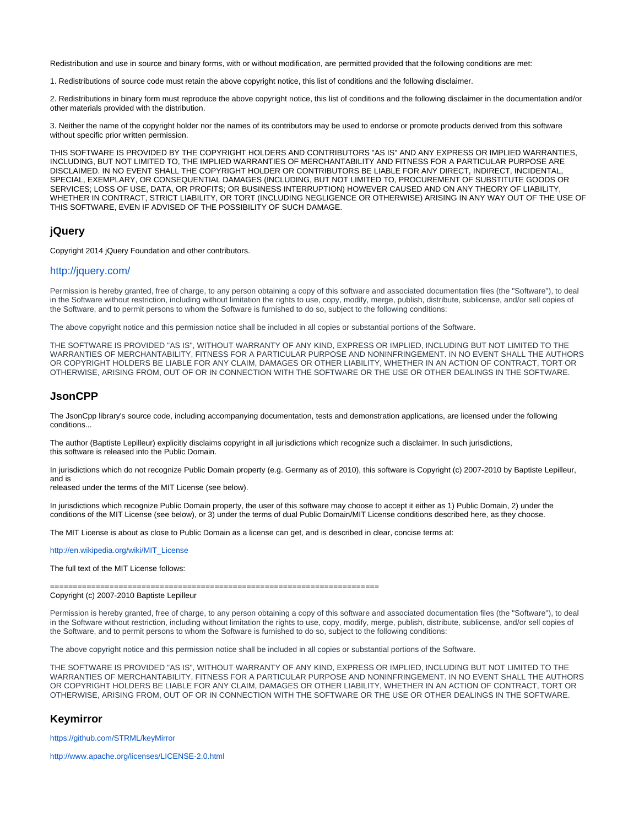Redistribution and use in source and binary forms, with or without modification, are permitted provided that the following conditions are met:

1. Redistributions of source code must retain the above copyright notice, this list of conditions and the following disclaimer.

2. Redistributions in binary form must reproduce the above copyright notice, this list of conditions and the following disclaimer in the documentation and/or other materials provided with the distribution.

3. Neither the name of the copyright holder nor the names of its contributors may be used to endorse or promote products derived from this software without specific prior written permission.

THIS SOFTWARE IS PROVIDED BY THE COPYRIGHT HOLDERS AND CONTRIBUTORS "AS IS" AND ANY EXPRESS OR IMPLIED WARRANTIES, INCLUDING, BUT NOT LIMITED TO, THE IMPLIED WARRANTIES OF MERCHANTABILITY AND FITNESS FOR A PARTICULAR PURPOSE ARE DISCLAIMED. IN NO EVENT SHALL THE COPYRIGHT HOLDER OR CONTRIBUTORS BE LIABLE FOR ANY DIRECT, INDIRECT, INCIDENTAL, SPECIAL, EXEMPLARY, OR CONSEQUENTIAL DAMAGES (INCLUDING, BUT NOT LIMITED TO, PROCUREMENT OF SUBSTITUTE GOODS OR SERVICES; LOSS OF USE, DATA, OR PROFITS; OR BUSINESS INTERRUPTION) HOWEVER CAUSED AND ON ANY THEORY OF LIABILITY, WHETHER IN CONTRACT, STRICT LIABILITY, OR TORT (INCLUDING NEGLIGENCE OR OTHERWISE) ARISING IN ANY WAY OUT OF THE USE OF THIS SOFTWARE, EVEN IF ADVISED OF THE POSSIBILITY OF SUCH DAMAGE.

# **jQuery**

Copyright 2014 jQuery Foundation and other contributors.

# <http://jquery.com/>

Permission is hereby granted, free of charge, to any person obtaining a copy of this software and associated documentation files (the "Software"), to deal in the Software without restriction, including without limitation the rights to use, copy, modify, merge, publish, distribute, sublicense, and/or sell copies of the Software, and to permit persons to whom the Software is furnished to do so, subject to the following conditions:

The above copyright notice and this permission notice shall be included in all copies or substantial portions of the Software.

THE SOFTWARE IS PROVIDED "AS IS", WITHOUT WARRANTY OF ANY KIND, EXPRESS OR IMPLIED, INCLUDING BUT NOT LIMITED TO THE WARRANTIES OF MERCHANTABILITY, FITNESS FOR A PARTICULAR PURPOSE AND NONINFRINGEMENT. IN NO EVENT SHALL THE AUTHORS OR COPYRIGHT HOLDERS BE LIABLE FOR ANY CLAIM, DAMAGES OR OTHER LIABILITY, WHETHER IN AN ACTION OF CONTRACT, TORT OR OTHERWISE, ARISING FROM, OUT OF OR IN CONNECTION WITH THE SOFTWARE OR THE USE OR OTHER DEALINGS IN THE SOFTWARE.

### **JsonCPP**

The JsonCpp library's source code, including accompanying documentation, tests and demonstration applications, are licensed under the following conditions...

The author (Baptiste Lepilleur) explicitly disclaims copyright in all jurisdictions which recognize such a disclaimer. In such jurisdictions, this software is released into the Public Domain.

In jurisdictions which do not recognize Public Domain property (e.g. Germany as of 2010), this software is Copyright (c) 2007-2010 by Baptiste Lepilleur, and is

released under the terms of the MIT License (see below).

In jurisdictions which recognize Public Domain property, the user of this software may choose to accept it either as 1) Public Domain, 2) under the conditions of the MIT License (see below), or 3) under the terms of dual Public Domain/MIT License conditions described here, as they choose.

The MIT License is about as close to Public Domain as a license can get, and is described in clear, concise terms at:

[http://en.wikipedia.org/wiki/MIT\\_License](http://en.wikipedia.org/wiki/MIT_License)

The full text of the MIT License follows:

========================================================================

Copyright (c) 2007-2010 Baptiste Lepilleur

Permission is hereby granted, free of charge, to any person obtaining a copy of this software and associated documentation files (the "Software"), to deal in the Software without restriction, including without limitation the rights to use, copy, modify, merge, publish, distribute, sublicense, and/or sell copies of the Software, and to permit persons to whom the Software is furnished to do so, subject to the following conditions:

The above copyright notice and this permission notice shall be included in all copies or substantial portions of the Software.

THE SOFTWARE IS PROVIDED "AS IS", WITHOUT WARRANTY OF ANY KIND, EXPRESS OR IMPLIED, INCLUDING BUT NOT LIMITED TO THE WARRANTIES OF MERCHANTABILITY, FITNESS FOR A PARTICULAR PURPOSE AND NONINFRINGEMENT. IN NO EVENT SHALL THE AUTHORS OR COPYRIGHT HOLDERS BE LIABLE FOR ANY CLAIM, DAMAGES OR OTHER LIABILITY, WHETHER IN AN ACTION OF CONTRACT, TORT OR OTHERWISE, ARISING FROM, OUT OF OR IN CONNECTION WITH THE SOFTWARE OR THE USE OR OTHER DEALINGS IN THE SOFTWARE.

### **Keymirror**

<https://github.com/STRML/keyMirror>

<http://www.apache.org/licenses/LICENSE-2.0.html>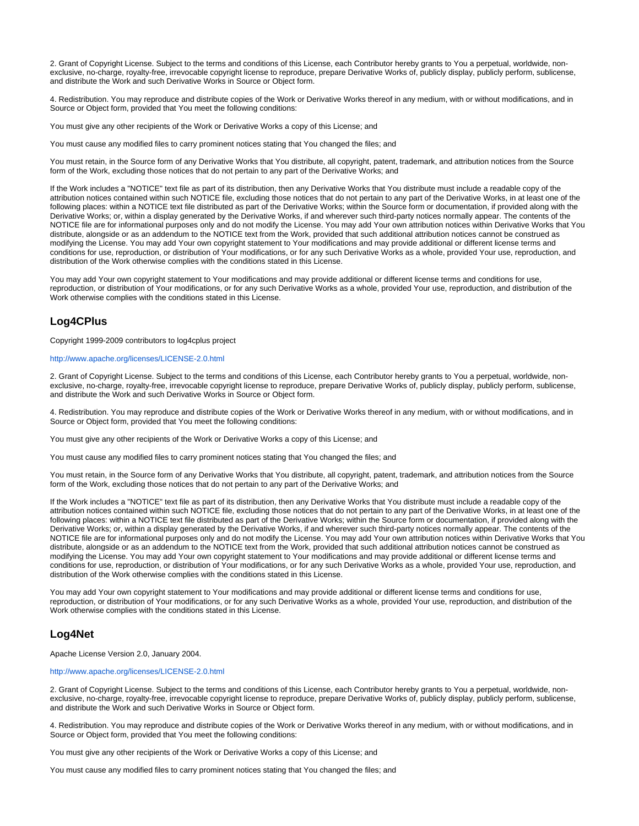2. Grant of Copyright License. Subject to the terms and conditions of this License, each Contributor hereby grants to You a perpetual, worldwide, nonexclusive, no-charge, royalty-free, irrevocable copyright license to reproduce, prepare Derivative Works of, publicly display, publicly perform, sublicense, and distribute the Work and such Derivative Works in Source or Object form.

4. Redistribution. You may reproduce and distribute copies of the Work or Derivative Works thereof in any medium, with or without modifications, and in Source or Object form, provided that You meet the following conditions:

You must give any other recipients of the Work or Derivative Works a copy of this License; and

You must cause any modified files to carry prominent notices stating that You changed the files; and

You must retain, in the Source form of any Derivative Works that You distribute, all copyright, patent, trademark, and attribution notices from the Source form of the Work, excluding those notices that do not pertain to any part of the Derivative Works; and

If the Work includes a "NOTICE" text file as part of its distribution, then any Derivative Works that You distribute must include a readable copy of the attribution notices contained within such NOTICE file, excluding those notices that do not pertain to any part of the Derivative Works, in at least one of the following places: within a NOTICE text file distributed as part of the Derivative Works; within the Source form or documentation, if provided along with the Derivative Works; or, within a display generated by the Derivative Works, if and wherever such third-party notices normally appear. The contents of the NOTICE file are for informational purposes only and do not modify the License. You may add Your own attribution notices within Derivative Works that You distribute, alongside or as an addendum to the NOTICE text from the Work, provided that such additional attribution notices cannot be construed as modifying the License. You may add Your own copyright statement to Your modifications and may provide additional or different license terms and conditions for use, reproduction, or distribution of Your modifications, or for any such Derivative Works as a whole, provided Your use, reproduction, and distribution of the Work otherwise complies with the conditions stated in this License.

You may add Your own copyright statement to Your modifications and may provide additional or different license terms and conditions for use, reproduction, or distribution of Your modifications, or for any such Derivative Works as a whole, provided Your use, reproduction, and distribution of the Work otherwise complies with the conditions stated in this License.

# **Log4CPlus**

Copyright 1999-2009 contributors to log4cplus project

#### <http://www.apache.org/licenses/LICENSE-2.0.html>

2. Grant of Copyright License. Subject to the terms and conditions of this License, each Contributor hereby grants to You a perpetual, worldwide, nonexclusive, no-charge, royalty-free, irrevocable copyright license to reproduce, prepare Derivative Works of, publicly display, publicly perform, sublicense, and distribute the Work and such Derivative Works in Source or Object form.

4. Redistribution. You may reproduce and distribute copies of the Work or Derivative Works thereof in any medium, with or without modifications, and in Source or Object form, provided that You meet the following conditions:

You must give any other recipients of the Work or Derivative Works a copy of this License; and

You must cause any modified files to carry prominent notices stating that You changed the files; and

You must retain, in the Source form of any Derivative Works that You distribute, all copyright, patent, trademark, and attribution notices from the Source form of the Work, excluding those notices that do not pertain to any part of the Derivative Works; and

If the Work includes a "NOTICE" text file as part of its distribution, then any Derivative Works that You distribute must include a readable copy of the attribution notices contained within such NOTICE file, excluding those notices that do not pertain to any part of the Derivative Works, in at least one of the following places: within a NOTICE text file distributed as part of the Derivative Works; within the Source form or documentation, if provided along with the Derivative Works; or, within a display generated by the Derivative Works, if and wherever such third-party notices normally appear. The contents of the NOTICE file are for informational purposes only and do not modify the License. You may add Your own attribution notices within Derivative Works that You distribute, alongside or as an addendum to the NOTICE text from the Work, provided that such additional attribution notices cannot be construed as modifying the License. You may add Your own copyright statement to Your modifications and may provide additional or different license terms and conditions for use, reproduction, or distribution of Your modifications, or for any such Derivative Works as a whole, provided Your use, reproduction, and distribution of the Work otherwise complies with the conditions stated in this License.

You may add Your own copyright statement to Your modifications and may provide additional or different license terms and conditions for use, reproduction, or distribution of Your modifications, or for any such Derivative Works as a whole, provided Your use, reproduction, and distribution of the Work otherwise complies with the conditions stated in this License.

# **Log4Net**

Apache License Version 2.0, January 2004.

### <http://www.apache.org/licenses/LICENSE-2.0.html>

2. Grant of Copyright License. Subject to the terms and conditions of this License, each Contributor hereby grants to You a perpetual, worldwide, nonexclusive, no-charge, royalty-free, irrevocable copyright license to reproduce, prepare Derivative Works of, publicly display, publicly perform, sublicense, and distribute the Work and such Derivative Works in Source or Object form.

4. Redistribution. You may reproduce and distribute copies of the Work or Derivative Works thereof in any medium, with or without modifications, and in Source or Object form, provided that You meet the following conditions:

You must give any other recipients of the Work or Derivative Works a copy of this License; and

You must cause any modified files to carry prominent notices stating that You changed the files; and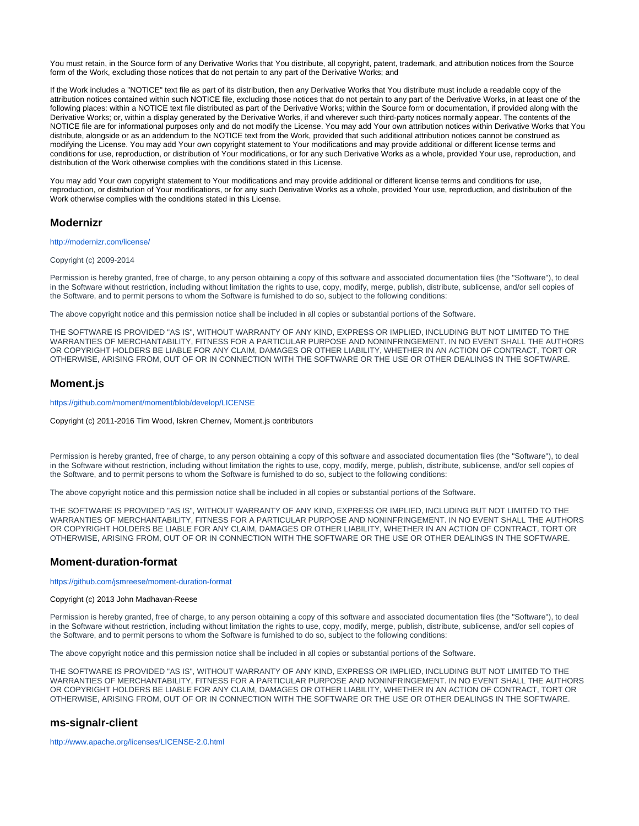You must retain, in the Source form of any Derivative Works that You distribute, all copyright, patent, trademark, and attribution notices from the Source form of the Work, excluding those notices that do not pertain to any part of the Derivative Works; and

If the Work includes a "NOTICE" text file as part of its distribution, then any Derivative Works that You distribute must include a readable copy of the attribution notices contained within such NOTICE file, excluding those notices that do not pertain to any part of the Derivative Works, in at least one of the following places: within a NOTICE text file distributed as part of the Derivative Works; within the Source form or documentation, if provided along with the Derivative Works; or, within a display generated by the Derivative Works, if and wherever such third-party notices normally appear. The contents of the NOTICE file are for informational purposes only and do not modify the License. You may add Your own attribution notices within Derivative Works that You distribute, alongside or as an addendum to the NOTICE text from the Work, provided that such additional attribution notices cannot be construed as modifying the License. You may add Your own copyright statement to Your modifications and may provide additional or different license terms and conditions for use, reproduction, or distribution of Your modifications, or for any such Derivative Works as a whole, provided Your use, reproduction, and distribution of the Work otherwise complies with the conditions stated in this License.

You may add Your own copyright statement to Your modifications and may provide additional or different license terms and conditions for use, reproduction, or distribution of Your modifications, or for any such Derivative Works as a whole, provided Your use, reproduction, and distribution of the Work otherwise complies with the conditions stated in this License.

### **Modernizr**

#### <http://modernizr.com/license/>

#### Copyright (c) 2009-2014

Permission is hereby granted, free of charge, to any person obtaining a copy of this software and associated documentation files (the "Software"), to deal in the Software without restriction, including without limitation the rights to use, copy, modify, merge, publish, distribute, sublicense, and/or sell copies of the Software, and to permit persons to whom the Software is furnished to do so, subject to the following conditions:

The above copyright notice and this permission notice shall be included in all copies or substantial portions of the Software.

THE SOFTWARE IS PROVIDED "AS IS", WITHOUT WARRANTY OF ANY KIND, EXPRESS OR IMPLIED, INCLUDING BUT NOT LIMITED TO THE WARRANTIES OF MERCHANTABILITY, FITNESS FOR A PARTICULAR PURPOSE AND NONINFRINGEMENT. IN NO EVENT SHALL THE AUTHORS OR COPYRIGHT HOLDERS BE LIABLE FOR ANY CLAIM, DAMAGES OR OTHER LIABILITY, WHETHER IN AN ACTION OF CONTRACT, TORT OR OTHERWISE, ARISING FROM, OUT OF OR IN CONNECTION WITH THE SOFTWARE OR THE USE OR OTHER DEALINGS IN THE SOFTWARE.

# **Moment.js**

<https://github.com/moment/moment/blob/develop/LICENSE>

Copyright (c) 2011-2016 Tim Wood, Iskren Chernev, Moment.js contributors

Permission is hereby granted, free of charge, to any person obtaining a copy of this software and associated documentation files (the "Software"), to deal in the Software without restriction, including without limitation the rights to use, copy, modify, merge, publish, distribute, sublicense, and/or sell copies of the Software, and to permit persons to whom the Software is furnished to do so, subject to the following conditions:

The above copyright notice and this permission notice shall be included in all copies or substantial portions of the Software.

THE SOFTWARE IS PROVIDED "AS IS", WITHOUT WARRANTY OF ANY KIND, EXPRESS OR IMPLIED, INCLUDING BUT NOT LIMITED TO THE WARRANTIES OF MERCHANTABILITY, FITNESS FOR A PARTICULAR PURPOSE AND NONINFRINGEMENT. IN NO EVENT SHALL THE AUTHORS OR COPYRIGHT HOLDERS BE LIABLE FOR ANY CLAIM, DAMAGES OR OTHER LIABILITY, WHETHER IN AN ACTION OF CONTRACT, TORT OR OTHERWISE, ARISING FROM, OUT OF OR IN CONNECTION WITH THE SOFTWARE OR THE USE OR OTHER DEALINGS IN THE SOFTWARE.

### **Moment-duration-format**

<https://github.com/jsmreese/moment-duration-format>

Copyright (c) 2013 John Madhavan-Reese

Permission is hereby granted, free of charge, to any person obtaining a copy of this software and associated documentation files (the "Software"), to deal in the Software without restriction, including without limitation the rights to use, copy, modify, merge, publish, distribute, sublicense, and/or sell copies of the Software, and to permit persons to whom the Software is furnished to do so, subject to the following conditions:

The above copyright notice and this permission notice shall be included in all copies or substantial portions of the Software.

THE SOFTWARE IS PROVIDED "AS IS", WITHOUT WARRANTY OF ANY KIND, EXPRESS OR IMPLIED, INCLUDING BUT NOT LIMITED TO THE WARRANTIES OF MERCHANTABILITY, FITNESS FOR A PARTICULAR PURPOSE AND NONINFRINGEMENT. IN NO EVENT SHALL THE AUTHORS OR COPYRIGHT HOLDERS BE LIABLE FOR ANY CLAIM, DAMAGES OR OTHER LIABILITY, WHETHER IN AN ACTION OF CONTRACT, TORT OR OTHERWISE, ARISING FROM, OUT OF OR IN CONNECTION WITH THE SOFTWARE OR THE USE OR OTHER DEALINGS IN THE SOFTWARE.

# **ms-signalr-client**

<http://www.apache.org/licenses/LICENSE-2.0.html>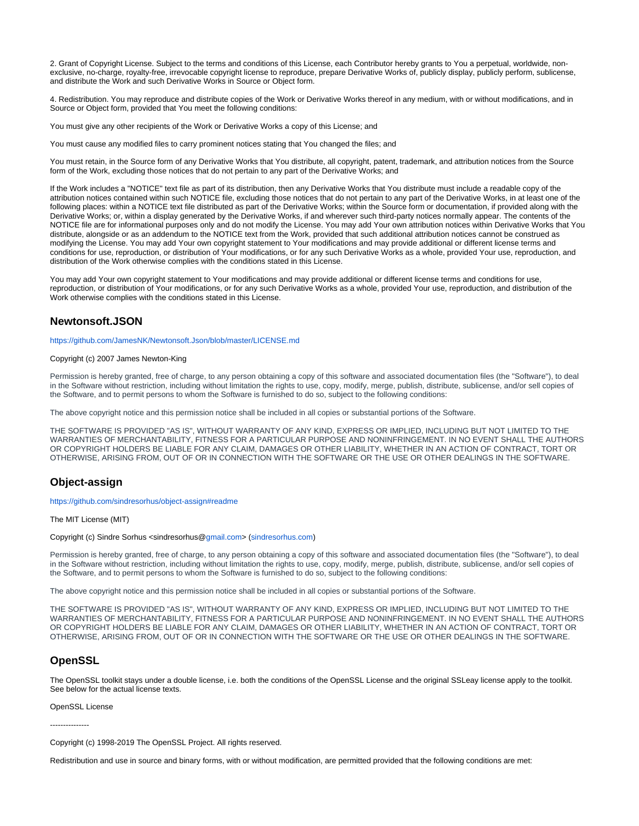2. Grant of Copyright License. Subject to the terms and conditions of this License, each Contributor hereby grants to You a perpetual, worldwide, nonexclusive, no-charge, royalty-free, irrevocable copyright license to reproduce, prepare Derivative Works of, publicly display, publicly perform, sublicense, and distribute the Work and such Derivative Works in Source or Object form.

4. Redistribution. You may reproduce and distribute copies of the Work or Derivative Works thereof in any medium, with or without modifications, and in Source or Object form, provided that You meet the following conditions:

You must give any other recipients of the Work or Derivative Works a copy of this License; and

You must cause any modified files to carry prominent notices stating that You changed the files; and

You must retain, in the Source form of any Derivative Works that You distribute, all copyright, patent, trademark, and attribution notices from the Source form of the Work, excluding those notices that do not pertain to any part of the Derivative Works; and

If the Work includes a "NOTICE" text file as part of its distribution, then any Derivative Works that You distribute must include a readable copy of the attribution notices contained within such NOTICE file, excluding those notices that do not pertain to any part of the Derivative Works, in at least one of the following places: within a NOTICE text file distributed as part of the Derivative Works; within the Source form or documentation, if provided along with the Derivative Works; or, within a display generated by the Derivative Works, if and wherever such third-party notices normally appear. The contents of the NOTICE file are for informational purposes only and do not modify the License. You may add Your own attribution notices within Derivative Works that You distribute, alongside or as an addendum to the NOTICE text from the Work, provided that such additional attribution notices cannot be construed as modifying the License. You may add Your own copyright statement to Your modifications and may provide additional or different license terms and conditions for use, reproduction, or distribution of Your modifications, or for any such Derivative Works as a whole, provided Your use, reproduction, and distribution of the Work otherwise complies with the conditions stated in this License.

You may add Your own copyright statement to Your modifications and may provide additional or different license terms and conditions for use, reproduction, or distribution of Your modifications, or for any such Derivative Works as a whole, provided Your use, reproduction, and distribution of the Work otherwise complies with the conditions stated in this License.

# **Newtonsoft.JSON**

<https://github.com/JamesNK/Newtonsoft.Json/blob/master/LICENSE.md>

#### Copyright (c) 2007 James Newton-King

Permission is hereby granted, free of charge, to any person obtaining a copy of this software and associated documentation files (the "Software"), to deal in the Software without restriction, including without limitation the rights to use, copy, modify, merge, publish, distribute, sublicense, and/or sell copies of the Software, and to permit persons to whom the Software is furnished to do so, subject to the following conditions:

The above copyright notice and this permission notice shall be included in all copies or substantial portions of the Software.

THE SOFTWARE IS PROVIDED "AS IS", WITHOUT WARRANTY OF ANY KIND, EXPRESS OR IMPLIED, INCLUDING BUT NOT LIMITED TO THE WARRANTIES OF MERCHANTABILITY, FITNESS FOR A PARTICULAR PURPOSE AND NONINFRINGEMENT. IN NO EVENT SHALL THE AUTHORS OR COPYRIGHT HOLDERS BE LIABLE FOR ANY CLAIM, DAMAGES OR OTHER LIABILITY, WHETHER IN AN ACTION OF CONTRACT, TORT OR OTHERWISE, ARISING FROM, OUT OF OR IN CONNECTION WITH THE SOFTWARE OR THE USE OR OTHER DEALINGS IN THE SOFTWARE.

# **Object-assign**

<https://github.com/sindresorhus/object-assign#readme>

The MIT License (MIT)

#### Copyright (c) Sindre Sorhus <sindresorhus@[gmail.com>](http://gmail.com) ([sindresorhus.com\)](http://sindresorhus.com)

Permission is hereby granted, free of charge, to any person obtaining a copy of this software and associated documentation files (the "Software"), to deal in the Software without restriction, including without limitation the rights to use, copy, modify, merge, publish, distribute, sublicense, and/or sell copies of the Software, and to permit persons to whom the Software is furnished to do so, subject to the following conditions:

The above copyright notice and this permission notice shall be included in all copies or substantial portions of the Software.

THE SOFTWARE IS PROVIDED "AS IS", WITHOUT WARRANTY OF ANY KIND, EXPRESS OR IMPLIED, INCLUDING BUT NOT LIMITED TO THE WARRANTIES OF MERCHANTABILITY, FITNESS FOR A PARTICULAR PURPOSE AND NONINFRINGEMENT. IN NO EVENT SHALL THE AUTHORS OR COPYRIGHT HOLDERS BE LIABLE FOR ANY CLAIM, DAMAGES OR OTHER LIABILITY, WHETHER IN AN ACTION OF CONTRACT, TORT OR OTHERWISE, ARISING FROM, OUT OF OR IN CONNECTION WITH THE SOFTWARE OR THE USE OR OTHER DEALINGS IN THE SOFTWARE.

# **OpenSSL**

The OpenSSL toolkit stays under a double license, i.e. both the conditions of the OpenSSL License and the original SSLeay license apply to the toolkit. See below for the actual license texts.

OpenSSL License

---------------

Copyright (c) 1998-2019 The OpenSSL Project. All rights reserved.

Redistribution and use in source and binary forms, with or without modification, are permitted provided that the following conditions are met: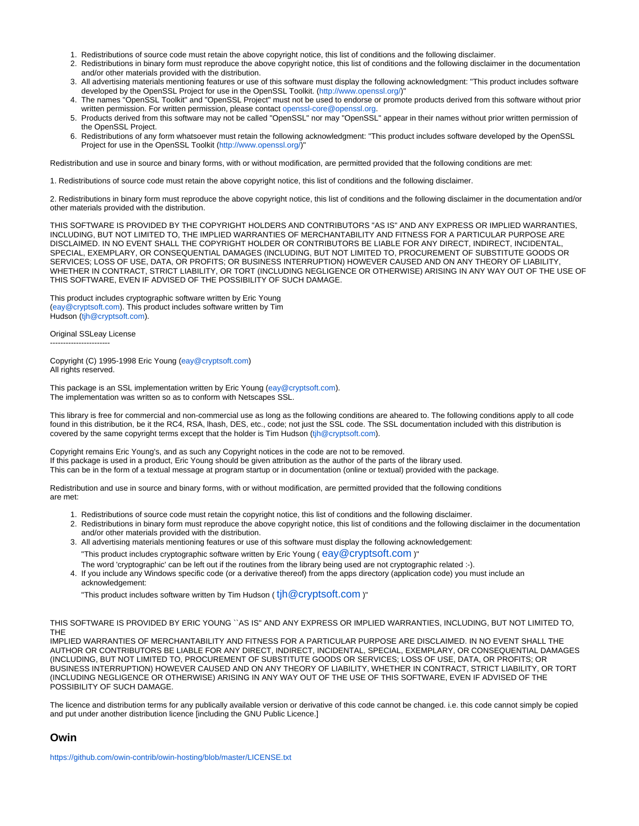- 1. Redistributions of source code must retain the above copyright notice, this list of conditions and the following disclaimer.
- 2. Redistributions in binary form must reproduce the above copyright notice, this list of conditions and the following disclaimer in the documentation and/or other materials provided with the distribution.
- 3. All advertising materials mentioning features or use of this software must display the following acknowledgment: "This product includes software developed by the OpenSSL Project for use in the OpenSSL Toolkit. [\(http://www.openssl.org/](http://www.openssl.org/))"
- 4. The names "OpenSSL Toolkit" and "OpenSSL Project" must not be used to endorse or promote products derived from this software without prior written permission. For written permission, please contact [openssl-core@openssl.org](mailto:openssl-core@openssl.org).
- 5. Products derived from this software may not be called "OpenSSL" nor may "OpenSSL" appear in their names without prior written permission of the OpenSSL Project.
- 6. Redistributions of any form whatsoever must retain the following acknowledgment: "This product includes software developed by the OpenSSL Project for use in the OpenSSL Toolkit [\(http://www.openssl.org/](http://www.openssl.org/))"

Redistribution and use in source and binary forms, with or without modification, are permitted provided that the following conditions are met:

1. Redistributions of source code must retain the above copyright notice, this list of conditions and the following disclaimer.

2. Redistributions in binary form must reproduce the above copyright notice, this list of conditions and the following disclaimer in the documentation and/or other materials provided with the distribution.

THIS SOFTWARE IS PROVIDED BY THE COPYRIGHT HOLDERS AND CONTRIBUTORS "AS IS" AND ANY EXPRESS OR IMPLIED WARRANTIES, INCLUDING, BUT NOT LIMITED TO, THE IMPLIED WARRANTIES OF MERCHANTABILITY AND FITNESS FOR A PARTICULAR PURPOSE ARE DISCLAIMED. IN NO EVENT SHALL THE COPYRIGHT HOLDER OR CONTRIBUTORS BE LIABLE FOR ANY DIRECT, INDIRECT, INCIDENTAL, SPECIAL, EXEMPLARY, OR CONSEQUENTIAL DAMAGES (INCLUDING, BUT NOT LIMITED TO, PROCUREMENT OF SUBSTITUTE GOODS OR SERVICES; LOSS OF USE, DATA, OR PROFITS; OR BUSINESS INTERRUPTION) HOWEVER CAUSED AND ON ANY THEORY OF LIABILITY, WHETHER IN CONTRACT, STRICT LIABILITY, OR TORT (INCLUDING NEGLIGENCE OR OTHERWISE) ARISING IN ANY WAY OUT OF THE USE OF THIS SOFTWARE, EVEN IF ADVISED OF THE POSSIBILITY OF SUCH DAMAGE.

This product includes cryptographic software written by Eric Young ([eay@cryptsoft.com\)](mailto:eay@cryptsoft.com). This product includes software written by Tim Hudson [\(tjh@cryptsoft.com\)](mailto:tjh@cryptsoft.com).

Original SSLeay License

-----------------------

Copyright (C) 1995-1998 Eric Young ([eay@cryptsoft.com](mailto:eay@cryptsoft.com)) All rights reserved.

This package is an SSL implementation written by Eric Young [\(eay@cryptsoft.com\)](mailto:eay@cryptsoft.com). The implementation was written so as to conform with Netscapes SSL.

This library is free for commercial and non-commercial use as long as the following conditions are aheared to. The following conditions apply to all code found in this distribution, be it the RC4, RSA, lhash, DES, etc., code; not just the SSL code. The SSL documentation included with this distribution is covered by the same copyright terms except that the holder is Tim Hudson ([tjh@cryptsoft.com\)](mailto:tjh@cryptsoft.com).

Copyright remains Eric Young's, and as such any Copyright notices in the code are not to be removed. If this package is used in a product, Eric Young should be given attribution as the author of the parts of the library used. This can be in the form of a textual message at program startup or in documentation (online or textual) provided with the package.

Redistribution and use in source and binary forms, with or without modification, are permitted provided that the following conditions are met:

- 1. Redistributions of source code must retain the copyright notice, this list of conditions and the following disclaimer.
- 2. Redistributions in binary form must reproduce the above copyright notice, this list of conditions and the following disclaimer in the documentation and/or other materials provided with the distribution.
- 3. All advertising materials mentioning features or use of this software must display the following acknowledgement: "This product includes cryptographic software written by Eric Young ( $e$ ay $@$ Cryptsoft.com)"
- The word 'cryptographic' can be left out if the routines from the library being used are not cryptographic related :-).
- 4. If you include any Windows specific code (or a derivative thereof) from the apps directory (application code) you must include an acknowledgement:

"This product includes software written by Tim Hudson ( $\mathop{\mathsf{tih}}\nolimits@$  Cryptsoft.com )"

THIS SOFTWARE IS PROVIDED BY ERIC YOUNG ``AS IS'' AND ANY EXPRESS OR IMPLIED WARRANTIES, INCLUDING, BUT NOT LIMITED TO, THE

IMPLIED WARRANTIES OF MERCHANTABILITY AND FITNESS FOR A PARTICULAR PURPOSE ARE DISCLAIMED. IN NO EVENT SHALL THE AUTHOR OR CONTRIBUTORS BE LIABLE FOR ANY DIRECT, INDIRECT, INCIDENTAL, SPECIAL, EXEMPLARY, OR CONSEQUENTIAL DAMAGES (INCLUDING, BUT NOT LIMITED TO, PROCUREMENT OF SUBSTITUTE GOODS OR SERVICES; LOSS OF USE, DATA, OR PROFITS; OR BUSINESS INTERRUPTION) HOWEVER CAUSED AND ON ANY THEORY OF LIABILITY, WHETHER IN CONTRACT, STRICT LIABILITY, OR TORT (INCLUDING NEGLIGENCE OR OTHERWISE) ARISING IN ANY WAY OUT OF THE USE OF THIS SOFTWARE, EVEN IF ADVISED OF THE POSSIBILITY OF SUCH DAMAGE.

The licence and distribution terms for any publically available version or derivative of this code cannot be changed. i.e. this code cannot simply be copied and put under another distribution licence [including the GNU Public Licence.]

# **Owin**

<https://github.com/owin-contrib/owin-hosting/blob/master/LICENSE.txt>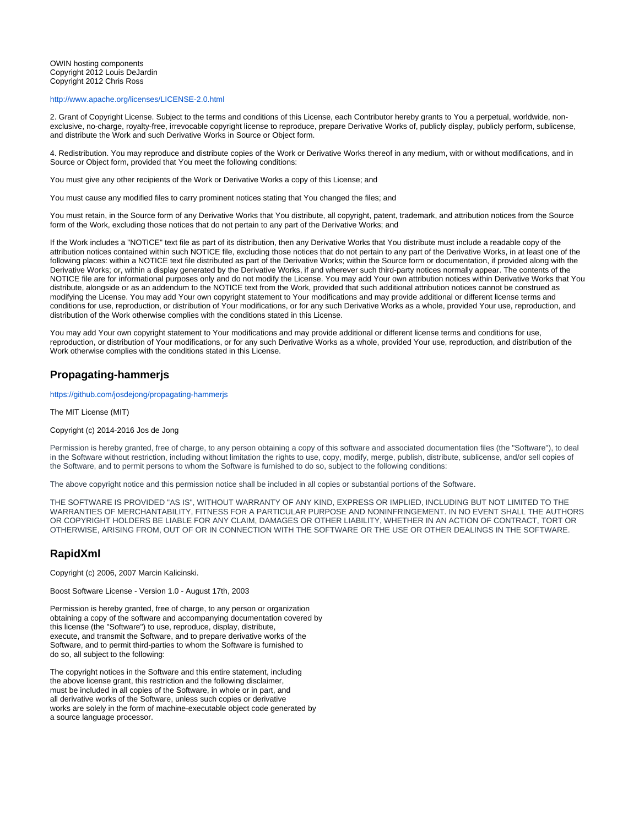#### OWIN hosting components Copyright 2012 Louis DeJardin Copyright 2012 Chris Ross

#### <http://www.apache.org/licenses/LICENSE-2.0.html>

2. Grant of Copyright License. Subject to the terms and conditions of this License, each Contributor hereby grants to You a perpetual, worldwide, nonexclusive, no-charge, royalty-free, irrevocable copyright license to reproduce, prepare Derivative Works of, publicly display, publicly perform, sublicense, and distribute the Work and such Derivative Works in Source or Object form.

4. Redistribution. You may reproduce and distribute copies of the Work or Derivative Works thereof in any medium, with or without modifications, and in Source or Object form, provided that You meet the following conditions:

You must give any other recipients of the Work or Derivative Works a copy of this License; and

You must cause any modified files to carry prominent notices stating that You changed the files; and

You must retain, in the Source form of any Derivative Works that You distribute, all copyright, patent, trademark, and attribution notices from the Source form of the Work, excluding those notices that do not pertain to any part of the Derivative Works; and

If the Work includes a "NOTICE" text file as part of its distribution, then any Derivative Works that You distribute must include a readable copy of the attribution notices contained within such NOTICE file, excluding those notices that do not pertain to any part of the Derivative Works, in at least one of the following places: within a NOTICE text file distributed as part of the Derivative Works; within the Source form or documentation, if provided along with the Derivative Works; or, within a display generated by the Derivative Works, if and wherever such third-party notices normally appear. The contents of the NOTICE file are for informational purposes only and do not modify the License. You may add Your own attribution notices within Derivative Works that You distribute, alongside or as an addendum to the NOTICE text from the Work, provided that such additional attribution notices cannot be construed as modifying the License. You may add Your own copyright statement to Your modifications and may provide additional or different license terms and conditions for use, reproduction, or distribution of Your modifications, or for any such Derivative Works as a whole, provided Your use, reproduction, and distribution of the Work otherwise complies with the conditions stated in this License.

You may add Your own copyright statement to Your modifications and may provide additional or different license terms and conditions for use, reproduction, or distribution of Your modifications, or for any such Derivative Works as a whole, provided Your use, reproduction, and distribution of the Work otherwise complies with the conditions stated in this License.

# **Propagating-hammerjs**

<https://github.com/josdejong/propagating-hammerjs>

The MIT License (MIT)

#### Copyright (c) 2014-2016 Jos de Jong

Permission is hereby granted, free of charge, to any person obtaining a copy of this software and associated documentation files (the "Software"), to deal in the Software without restriction, including without limitation the rights to use, copy, modify, merge, publish, distribute, sublicense, and/or sell copies of the Software, and to permit persons to whom the Software is furnished to do so, subject to the following conditions:

The above copyright notice and this permission notice shall be included in all copies or substantial portions of the Software.

THE SOFTWARE IS PROVIDED "AS IS", WITHOUT WARRANTY OF ANY KIND, EXPRESS OR IMPLIED, INCLUDING BUT NOT LIMITED TO THE WARRANTIES OF MERCHANTABILITY, FITNESS FOR A PARTICULAR PURPOSE AND NONINFRINGEMENT. IN NO EVENT SHALL THE AUTHORS OR COPYRIGHT HOLDERS BE LIABLE FOR ANY CLAIM, DAMAGES OR OTHER LIABILITY, WHETHER IN AN ACTION OF CONTRACT, TORT OR OTHERWISE, ARISING FROM, OUT OF OR IN CONNECTION WITH THE SOFTWARE OR THE USE OR OTHER DEALINGS IN THE SOFTWARE.

# **RapidXml**

Copyright (c) 2006, 2007 Marcin Kalicinski.

Boost Software License - Version 1.0 - August 17th, 2003

Permission is hereby granted, free of charge, to any person or organization obtaining a copy of the software and accompanying documentation covered by this license (the "Software") to use, reproduce, display, distribute, execute, and transmit the Software, and to prepare derivative works of the Software, and to permit third-parties to whom the Software is furnished to do so, all subject to the following:

The copyright notices in the Software and this entire statement, including the above license grant, this restriction and the following disclaimer, must be included in all copies of the Software, in whole or in part, and all derivative works of the Software, unless such copies or derivative works are solely in the form of machine-executable object code generated by a source language processor.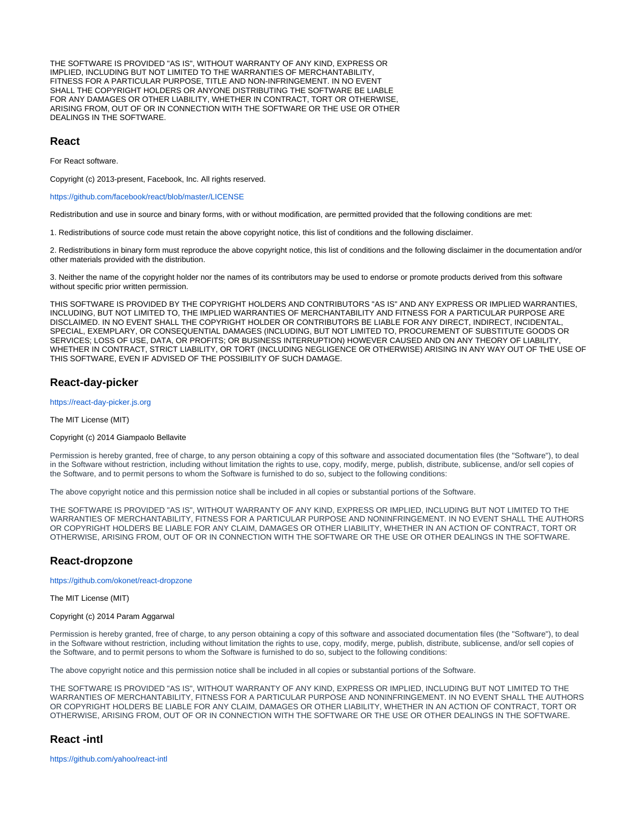THE SOFTWARE IS PROVIDED "AS IS", WITHOUT WARRANTY OF ANY KIND, EXPRESS OR IMPLIED, INCLUDING BUT NOT LIMITED TO THE WARRANTIES OF MERCHANTABILITY, FITNESS FOR A PARTICULAR PURPOSE, TITLE AND NON-INFRINGEMENT. IN NO EVENT SHALL THE COPYRIGHT HOLDERS OR ANYONE DISTRIBUTING THE SOFTWARE BE LIABLE FOR ANY DAMAGES OR OTHER LIABILITY, WHETHER IN CONTRACT, TORT OR OTHERWISE, ARISING FROM, OUT OF OR IN CONNECTION WITH THE SOFTWARE OR THE USE OR OTHER DEALINGS IN THE SOFTWARE.

# **React**

For React software.

Copyright (c) 2013-present, Facebook, Inc. All rights reserved.

<https://github.com/facebook/react/blob/master/LICENSE>

Redistribution and use in source and binary forms, with or without modification, are permitted provided that the following conditions are met:

1. Redistributions of source code must retain the above copyright notice, this list of conditions and the following disclaimer.

2. Redistributions in binary form must reproduce the above copyright notice, this list of conditions and the following disclaimer in the documentation and/or other materials provided with the distribution.

3. Neither the name of the copyright holder nor the names of its contributors may be used to endorse or promote products derived from this software without specific prior written permission.

THIS SOFTWARE IS PROVIDED BY THE COPYRIGHT HOLDERS AND CONTRIBUTORS "AS IS" AND ANY EXPRESS OR IMPLIED WARRANTIES, INCLUDING, BUT NOT LIMITED TO, THE IMPLIED WARRANTIES OF MERCHANTABILITY AND FITNESS FOR A PARTICULAR PURPOSE ARE DISCLAIMED. IN NO EVENT SHALL THE COPYRIGHT HOLDER OR CONTRIBUTORS BE LIABLE FOR ANY DIRECT, INDIRECT, INCIDENTAL, SPECIAL, EXEMPLARY, OR CONSEQUENTIAL DAMAGES (INCLUDING, BUT NOT LIMITED TO, PROCUREMENT OF SUBSTITUTE GOODS OR SERVICES; LOSS OF USE, DATA, OR PROFITS; OR BUSINESS INTERRUPTION) HOWEVER CAUSED AND ON ANY THEORY OF LIABILITY, WHETHER IN CONTRACT, STRICT LIABILITY, OR TORT (INCLUDING NEGLIGENCE OR OTHERWISE) ARISING IN ANY WAY OUT OF THE USE OF THIS SOFTWARE, EVEN IF ADVISED OF THE POSSIBILITY OF SUCH DAMAGE.

# **React-day-picker**

<https://react-day-picker.js.org>

The MIT License (MIT)

#### Copyright (c) 2014 Giampaolo Bellavite

Permission is hereby granted, free of charge, to any person obtaining a copy of this software and associated documentation files (the "Software"), to deal in the Software without restriction, including without limitation the rights to use, copy, modify, merge, publish, distribute, sublicense, and/or sell copies of the Software, and to permit persons to whom the Software is furnished to do so, subject to the following conditions:

The above copyright notice and this permission notice shall be included in all copies or substantial portions of the Software.

THE SOFTWARE IS PROVIDED "AS IS", WITHOUT WARRANTY OF ANY KIND, EXPRESS OR IMPLIED, INCLUDING BUT NOT LIMITED TO THE WARRANTIES OF MERCHANTABILITY, FITNESS FOR A PARTICULAR PURPOSE AND NONINFRINGEMENT. IN NO EVENT SHALL THE AUTHORS OR COPYRIGHT HOLDERS BE LIABLE FOR ANY CLAIM, DAMAGES OR OTHER LIABILITY, WHETHER IN AN ACTION OF CONTRACT, TORT OR OTHERWISE, ARISING FROM, OUT OF OR IN CONNECTION WITH THE SOFTWARE OR THE USE OR OTHER DEALINGS IN THE SOFTWARE.

# **React-dropzone**

<https://github.com/okonet/react-dropzone>

The MIT License (MIT)

Copyright (c) 2014 Param Aggarwal

Permission is hereby granted, free of charge, to any person obtaining a copy of this software and associated documentation files (the "Software"), to deal in the Software without restriction, including without limitation the rights to use, copy, modify, merge, publish, distribute, sublicense, and/or sell copies of the Software, and to permit persons to whom the Software is furnished to do so, subject to the following conditions:

The above copyright notice and this permission notice shall be included in all copies or substantial portions of the Software.

THE SOFTWARE IS PROVIDED "AS IS", WITHOUT WARRANTY OF ANY KIND, EXPRESS OR IMPLIED, INCLUDING BUT NOT LIMITED TO THE WARRANTIES OF MERCHANTABILITY, FITNESS FOR A PARTICULAR PURPOSE AND NONINFRINGEMENT. IN NO EVENT SHALL THE AUTHORS OR COPYRIGHT HOLDERS BE LIABLE FOR ANY CLAIM, DAMAGES OR OTHER LIABILITY, WHETHER IN AN ACTION OF CONTRACT, TORT OR OTHERWISE, ARISING FROM, OUT OF OR IN CONNECTION WITH THE SOFTWARE OR THE USE OR OTHER DEALINGS IN THE SOFTWARE.

# **React -intl**

<https://github.com/yahoo/react-intl>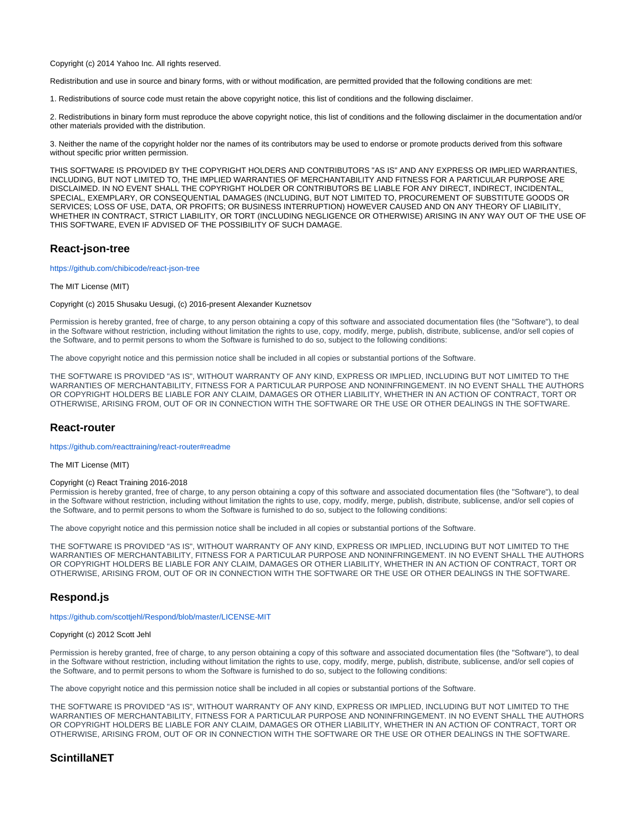Copyright (c) 2014 Yahoo Inc. All rights reserved.

Redistribution and use in source and binary forms, with or without modification, are permitted provided that the following conditions are met:

1. Redistributions of source code must retain the above copyright notice, this list of conditions and the following disclaimer.

2. Redistributions in binary form must reproduce the above copyright notice, this list of conditions and the following disclaimer in the documentation and/or other materials provided with the distribution.

3. Neither the name of the copyright holder nor the names of its contributors may be used to endorse or promote products derived from this software without specific prior written permission.

THIS SOFTWARE IS PROVIDED BY THE COPYRIGHT HOLDERS AND CONTRIBUTORS "AS IS" AND ANY EXPRESS OR IMPLIED WARRANTIES, INCLUDING, BUT NOT LIMITED TO, THE IMPLIED WARRANTIES OF MERCHANTABILITY AND FITNESS FOR A PARTICULAR PURPOSE ARE DISCLAIMED. IN NO EVENT SHALL THE COPYRIGHT HOLDER OR CONTRIBUTORS BE LIABLE FOR ANY DIRECT, INDIRECT, INCIDENTAL, SPECIAL, EXEMPLARY, OR CONSEQUENTIAL DAMAGES (INCLUDING, BUT NOT LIMITED TO, PROCUREMENT OF SUBSTITUTE GOODS OR SERVICES; LOSS OF USE, DATA, OR PROFITS; OR BUSINESS INTERRUPTION) HOWEVER CAUSED AND ON ANY THEORY OF LIABILITY, WHETHER IN CONTRACT, STRICT LIABILITY, OR TORT (INCLUDING NEGLIGENCE OR OTHERWISE) ARISING IN ANY WAY OUT OF THE USE OF THIS SOFTWARE, EVEN IF ADVISED OF THE POSSIBILITY OF SUCH DAMAGE.

# **React-json-tree**

<https://github.com/chibicode/react-json-tree>

#### The MIT License (MIT)

Copyright (c) 2015 Shusaku Uesugi, (c) 2016-present Alexander Kuznetsov

Permission is hereby granted, free of charge, to any person obtaining a copy of this software and associated documentation files (the "Software"), to deal in the Software without restriction, including without limitation the rights to use, copy, modify, merge, publish, distribute, sublicense, and/or sell copies of the Software, and to permit persons to whom the Software is furnished to do so, subject to the following conditions:

The above copyright notice and this permission notice shall be included in all copies or substantial portions of the Software.

THE SOFTWARE IS PROVIDED "AS IS", WITHOUT WARRANTY OF ANY KIND, EXPRESS OR IMPLIED, INCLUDING BUT NOT LIMITED TO THE WARRANTIES OF MERCHANTABILITY, FITNESS FOR A PARTICULAR PURPOSE AND NONINFRINGEMENT. IN NO EVENT SHALL THE AUTHORS OR COPYRIGHT HOLDERS BE LIABLE FOR ANY CLAIM, DAMAGES OR OTHER LIABILITY, WHETHER IN AN ACTION OF CONTRACT, TORT OR OTHERWISE, ARISING FROM, OUT OF OR IN CONNECTION WITH THE SOFTWARE OR THE USE OR OTHER DEALINGS IN THE SOFTWARE.

### **React-router**

<https://github.com/reacttraining/react-router#readme>

The MIT License (MIT)

#### Copyright (c) React Training 2016-2018

Permission is hereby granted, free of charge, to any person obtaining a copy of this software and associated documentation files (the "Software"), to deal in the Software without restriction, including without limitation the rights to use, copy, modify, merge, publish, distribute, sublicense, and/or sell copies of the Software, and to permit persons to whom the Software is furnished to do so, subject to the following conditions:

The above copyright notice and this permission notice shall be included in all copies or substantial portions of the Software.

THE SOFTWARE IS PROVIDED "AS IS", WITHOUT WARRANTY OF ANY KIND, EXPRESS OR IMPLIED, INCLUDING BUT NOT LIMITED TO THE WARRANTIES OF MERCHANTABILITY, FITNESS FOR A PARTICULAR PURPOSE AND NONINFRINGEMENT. IN NO EVENT SHALL THE AUTHORS OR COPYRIGHT HOLDERS BE LIABLE FOR ANY CLAIM, DAMAGES OR OTHER LIABILITY, WHETHER IN AN ACTION OF CONTRACT, TORT OR OTHERWISE, ARISING FROM, OUT OF OR IN CONNECTION WITH THE SOFTWARE OR THE USE OR OTHER DEALINGS IN THE SOFTWARE.

# **Respond.js**

<https://github.com/scottjehl/Respond/blob/master/LICENSE-MIT>

### Copyright (c) 2012 Scott Jehl

Permission is hereby granted, free of charge, to any person obtaining a copy of this software and associated documentation files (the "Software"), to deal in the Software without restriction, including without limitation the rights to use, copy, modify, merge, publish, distribute, sublicense, and/or sell copies of the Software, and to permit persons to whom the Software is furnished to do so, subject to the following conditions:

The above copyright notice and this permission notice shall be included in all copies or substantial portions of the Software.

THE SOFTWARE IS PROVIDED "AS IS", WITHOUT WARRANTY OF ANY KIND, EXPRESS OR IMPLIED, INCLUDING BUT NOT LIMITED TO THE WARRANTIES OF MERCHANTABILITY, FITNESS FOR A PARTICULAR PURPOSE AND NONINFRINGEMENT. IN NO EVENT SHALL THE AUTHORS OR COPYRIGHT HOLDERS BE LIABLE FOR ANY CLAIM, DAMAGES OR OTHER LIABILITY, WHETHER IN AN ACTION OF CONTRACT, TORT OR OTHERWISE, ARISING FROM, OUT OF OR IN CONNECTION WITH THE SOFTWARE OR THE USE OR OTHER DEALINGS IN THE SOFTWARE.

# **ScintillaNET**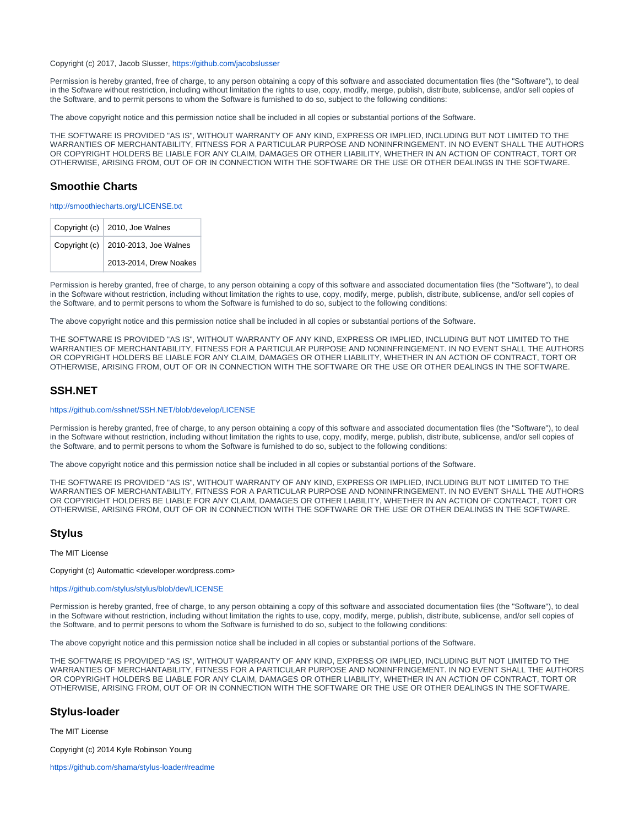#### Copyright (c) 2017, Jacob Slusser,<https://github.com/jacobslusser>

Permission is hereby granted, free of charge, to any person obtaining a copy of this software and associated documentation files (the "Software"), to deal in the Software without restriction, including without limitation the rights to use, copy, modify, merge, publish, distribute, sublicense, and/or sell copies of the Software, and to permit persons to whom the Software is furnished to do so, subject to the following conditions:

The above copyright notice and this permission notice shall be included in all copies or substantial portions of the Software.

THE SOFTWARE IS PROVIDED "AS IS", WITHOUT WARRANTY OF ANY KIND, EXPRESS OR IMPLIED, INCLUDING BUT NOT LIMITED TO THE WARRANTIES OF MERCHANTABILITY, FITNESS FOR A PARTICULAR PURPOSE AND NONINFRINGEMENT. IN NO EVENT SHALL THE AUTHORS OR COPYRIGHT HOLDERS BE LIABLE FOR ANY CLAIM, DAMAGES OR OTHER LIABILITY, WHETHER IN AN ACTION OF CONTRACT, TORT OR OTHERWISE, ARISING FROM, OUT OF OR IN CONNECTION WITH THE SOFTWARE OR THE USE OR OTHER DEALINGS IN THE SOFTWARE.

# **Smoothie Charts**

<http://smoothiecharts.org/LICENSE.txt>

|               | Copyright (c)   2010, Joe Walnes |
|---------------|----------------------------------|
| Copyright (c) | 2010-2013, Joe Walnes            |
|               | 2013-2014, Drew Noakes           |

Permission is hereby granted, free of charge, to any person obtaining a copy of this software and associated documentation files (the "Software"), to deal in the Software without restriction, including without limitation the rights to use, copy, modify, merge, publish, distribute, sublicense, and/or sell copies of the Software, and to permit persons to whom the Software is furnished to do so, subject to the following conditions:

The above copyright notice and this permission notice shall be included in all copies or substantial portions of the Software.

THE SOFTWARE IS PROVIDED "AS IS", WITHOUT WARRANTY OF ANY KIND, EXPRESS OR IMPLIED, INCLUDING BUT NOT LIMITED TO THE WARRANTIES OF MERCHANTABILITY, FITNESS FOR A PARTICULAR PURPOSE AND NONINFRINGEMENT. IN NO EVENT SHALL THE AUTHORS OR COPYRIGHT HOLDERS BE LIABLE FOR ANY CLAIM, DAMAGES OR OTHER LIABILITY, WHETHER IN AN ACTION OF CONTRACT, TORT OR OTHERWISE, ARISING FROM, OUT OF OR IN CONNECTION WITH THE SOFTWARE OR THE USE OR OTHER DEALINGS IN THE SOFTWARE.

# **SSH.NET**

#### <https://github.com/sshnet/SSH.NET/blob/develop/LICENSE>

Permission is hereby granted, free of charge, to any person obtaining a copy of this software and associated documentation files (the "Software"), to deal in the Software without restriction, including without limitation the rights to use, copy, modify, merge, publish, distribute, sublicense, and/or sell copies of the Software, and to permit persons to whom the Software is furnished to do so, subject to the following conditions:

The above copyright notice and this permission notice shall be included in all copies or substantial portions of the Software.

THE SOFTWARE IS PROVIDED "AS IS", WITHOUT WARRANTY OF ANY KIND, EXPRESS OR IMPLIED, INCLUDING BUT NOT LIMITED TO THE WARRANTIES OF MERCHANTABILITY, FITNESS FOR A PARTICULAR PURPOSE AND NONINFRINGEMENT. IN NO EVENT SHALL THE AUTHORS OR COPYRIGHT HOLDERS BE LIABLE FOR ANY CLAIM, DAMAGES OR OTHER LIABILITY, WHETHER IN AN ACTION OF CONTRACT, TORT OR OTHERWISE, ARISING FROM, OUT OF OR IN CONNECTION WITH THE SOFTWARE OR THE USE OR OTHER DEALINGS IN THE SOFTWARE.

### **Stylus**

The MIT License

Copyright (c) Automattic <developer.wordpress.com>

#### <https://github.com/stylus/stylus/blob/dev/LICENSE>

Permission is hereby granted, free of charge, to any person obtaining a copy of this software and associated documentation files (the "Software"), to deal in the Software without restriction, including without limitation the rights to use, copy, modify, merge, publish, distribute, sublicense, and/or sell copies of the Software, and to permit persons to whom the Software is furnished to do so, subject to the following conditions:

The above copyright notice and this permission notice shall be included in all copies or substantial portions of the Software.

THE SOFTWARE IS PROVIDED "AS IS", WITHOUT WARRANTY OF ANY KIND, EXPRESS OR IMPLIED, INCLUDING BUT NOT LIMITED TO THE WARRANTIES OF MERCHANTABILITY, FITNESS FOR A PARTICULAR PURPOSE AND NONINFRINGEMENT. IN NO EVENT SHALL THE AUTHORS OR COPYRIGHT HOLDERS BE LIABLE FOR ANY CLAIM, DAMAGES OR OTHER LIABILITY, WHETHER IN AN ACTION OF CONTRACT, TORT OR OTHERWISE, ARISING FROM, OUT OF OR IN CONNECTION WITH THE SOFTWARE OR THE USE OR OTHER DEALINGS IN THE SOFTWARE.

### **Stylus-loader**

The MIT License

Copyright (c) 2014 Kyle Robinson Young

<https://github.com/shama/stylus-loader#readme>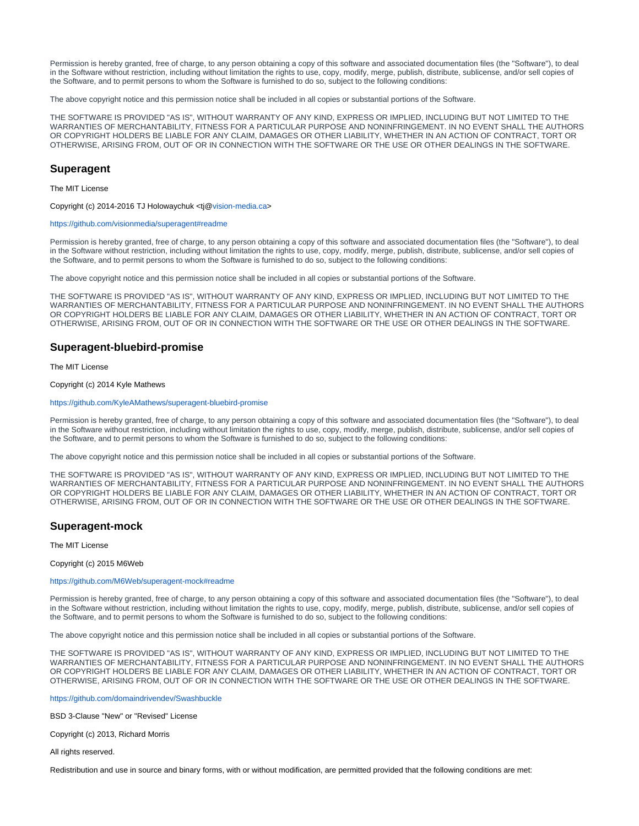Permission is hereby granted, free of charge, to any person obtaining a copy of this software and associated documentation files (the "Software"), to deal in the Software without restriction, including without limitation the rights to use, copy, modify, merge, publish, distribute, sublicense, and/or sell copies of the Software, and to permit persons to whom the Software is furnished to do so, subject to the following conditions:

The above copyright notice and this permission notice shall be included in all copies or substantial portions of the Software.

THE SOFTWARE IS PROVIDED "AS IS", WITHOUT WARRANTY OF ANY KIND, EXPRESS OR IMPLIED, INCLUDING BUT NOT LIMITED TO THE WARRANTIES OF MERCHANTABILITY, FITNESS FOR A PARTICULAR PURPOSE AND NONINFRINGEMENT. IN NO EVENT SHALL THE AUTHORS OR COPYRIGHT HOLDERS BE LIABLE FOR ANY CLAIM, DAMAGES OR OTHER LIABILITY, WHETHER IN AN ACTION OF CONTRACT, TORT OR OTHERWISE, ARISING FROM, OUT OF OR IN CONNECTION WITH THE SOFTWARE OR THE USE OR OTHER DEALINGS IN THE SOFTWARE.

## **Superagent**

The MIT License

Copyright (c) 2014-2016 TJ Holowaychuk <tj@[vision-media.ca>](http://vision-media.ca)

#### <https://github.com/visionmedia/superagent#readme>

Permission is hereby granted, free of charge, to any person obtaining a copy of this software and associated documentation files (the "Software"), to deal in the Software without restriction, including without limitation the rights to use, copy, modify, merge, publish, distribute, sublicense, and/or sell copies of the Software, and to permit persons to whom the Software is furnished to do so, subject to the following conditions:

The above copyright notice and this permission notice shall be included in all copies or substantial portions of the Software.

THE SOFTWARE IS PROVIDED "AS IS", WITHOUT WARRANTY OF ANY KIND, EXPRESS OR IMPLIED, INCLUDING BUT NOT LIMITED TO THE WARRANTIES OF MERCHANTABILITY, FITNESS FOR A PARTICULAR PURPOSE AND NONINFRINGEMENT. IN NO EVENT SHALL THE AUTHORS OR COPYRIGHT HOLDERS BE LIABLE FOR ANY CLAIM, DAMAGES OR OTHER LIABILITY, WHETHER IN AN ACTION OF CONTRACT, TORT OR OTHERWISE, ARISING FROM, OUT OF OR IN CONNECTION WITH THE SOFTWARE OR THE USE OR OTHER DEALINGS IN THE SOFTWARE.

### **Superagent-bluebird-promise**

The MIT License

#### Copyright (c) 2014 Kyle Mathews

#### <https://github.com/KyleAMathews/superagent-bluebird-promise>

Permission is hereby granted, free of charge, to any person obtaining a copy of this software and associated documentation files (the "Software"), to deal in the Software without restriction, including without limitation the rights to use, copy, modify, merge, publish, distribute, sublicense, and/or sell copies of the Software, and to permit persons to whom the Software is furnished to do so, subject to the following conditions:

The above copyright notice and this permission notice shall be included in all copies or substantial portions of the Software.

THE SOFTWARE IS PROVIDED "AS IS", WITHOUT WARRANTY OF ANY KIND, EXPRESS OR IMPLIED, INCLUDING BUT NOT LIMITED TO THE WARRANTIES OF MERCHANTABILITY, FITNESS FOR A PARTICULAR PURPOSE AND NONINFRINGEMENT. IN NO EVENT SHALL THE AUTHORS OR COPYRIGHT HOLDERS BE LIABLE FOR ANY CLAIM, DAMAGES OR OTHER LIABILITY, WHETHER IN AN ACTION OF CONTRACT, TORT OR OTHERWISE, ARISING FROM, OUT OF OR IN CONNECTION WITH THE SOFTWARE OR THE USE OR OTHER DEALINGS IN THE SOFTWARE.

#### **Superagent-mock**

The MIT License

Copyright (c) 2015 M6Web

#### <https://github.com/M6Web/superagent-mock#readme>

Permission is hereby granted, free of charge, to any person obtaining a copy of this software and associated documentation files (the "Software"), to deal in the Software without restriction, including without limitation the rights to use, copy, modify, merge, publish, distribute, sublicense, and/or sell copies of the Software, and to permit persons to whom the Software is furnished to do so, subject to the following conditions:

The above copyright notice and this permission notice shall be included in all copies or substantial portions of the Software.

THE SOFTWARE IS PROVIDED "AS IS", WITHOUT WARRANTY OF ANY KIND, EXPRESS OR IMPLIED, INCLUDING BUT NOT LIMITED TO THE WARRANTIES OF MERCHANTABILITY, FITNESS FOR A PARTICULAR PURPOSE AND NONINFRINGEMENT. IN NO EVENT SHALL THE AUTHORS OR COPYRIGHT HOLDERS BE LIABLE FOR ANY CLAIM, DAMAGES OR OTHER LIABILITY, WHETHER IN AN ACTION OF CONTRACT, TORT OR OTHERWISE, ARISING FROM, OUT OF OR IN CONNECTION WITH THE SOFTWARE OR THE USE OR OTHER DEALINGS IN THE SOFTWARE.

<https://github.com/domaindrivendev/Swashbuckle>

BSD 3-Clause "New" or "Revised" License

Copyright (c) 2013, Richard Morris

All rights reserved.

Redistribution and use in source and binary forms, with or without modification, are permitted provided that the following conditions are met: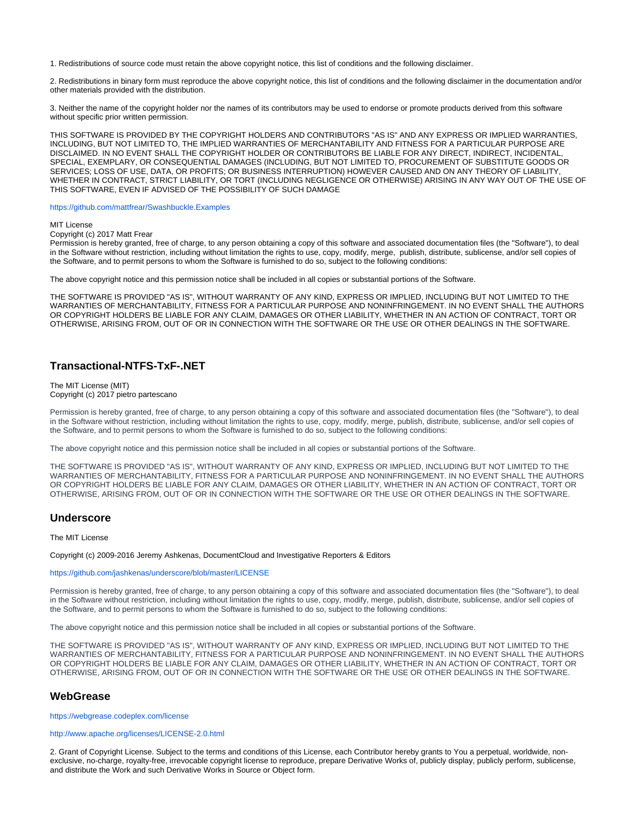1. Redistributions of source code must retain the above copyright notice, this list of conditions and the following disclaimer.

2. Redistributions in binary form must reproduce the above copyright notice, this list of conditions and the following disclaimer in the documentation and/or other materials provided with the distribution.

3. Neither the name of the copyright holder nor the names of its contributors may be used to endorse or promote products derived from this software without specific prior written permission.

THIS SOFTWARE IS PROVIDED BY THE COPYRIGHT HOLDERS AND CONTRIBUTORS "AS IS" AND ANY EXPRESS OR IMPLIED WARRANTIES, INCLUDING, BUT NOT LIMITED TO, THE IMPLIED WARRANTIES OF MERCHANTABILITY AND FITNESS FOR A PARTICULAR PURPOSE ARE DISCLAIMED. IN NO EVENT SHALL THE COPYRIGHT HOLDER OR CONTRIBUTORS BE LIABLE FOR ANY DIRECT, INDIRECT, INCIDENTAL, SPECIAL, EXEMPLARY, OR CONSEQUENTIAL DAMAGES (INCLUDING, BUT NOT LIMITED TO, PROCUREMENT OF SUBSTITUTE GOODS OR SERVICES; LOSS OF USE, DATA, OR PROFITS; OR BUSINESS INTERRUPTION) HOWEVER CAUSED AND ON ANY THEORY OF LIABILITY, WHETHER IN CONTRACT, STRICT LIABILITY, OR TORT (INCLUDING NEGLIGENCE OR OTHERWISE) ARISING IN ANY WAY OUT OF THE USE OF THIS SOFTWARE, EVEN IF ADVISED OF THE POSSIBILITY OF SUCH DAMAGE

<https://github.com/mattfrear/Swashbuckle.Examples>

#### MIT License

### Copyright (c) 2017 Matt Frear

Permission is hereby granted, free of charge, to any person obtaining a copy of this software and associated documentation files (the "Software"), to deal in the Software without restriction, including without limitation the rights to use, copy, modify, merge, publish, distribute, sublicense, and/or sell copies of the Software, and to permit persons to whom the Software is furnished to do so, subject to the following conditions:

The above copyright notice and this permission notice shall be included in all copies or substantial portions of the Software.

THE SOFTWARE IS PROVIDED "AS IS", WITHOUT WARRANTY OF ANY KIND, EXPRESS OR IMPLIED, INCLUDING BUT NOT LIMITED TO THE WARRANTIES OF MERCHANTABILITY, FITNESS FOR A PARTICULAR PURPOSE AND NONINFRINGEMENT. IN NO EVENT SHALL THE AUTHORS OR COPYRIGHT HOLDERS BE LIABLE FOR ANY CLAIM, DAMAGES OR OTHER LIABILITY, WHETHER IN AN ACTION OF CONTRACT, TORT OR OTHERWISE, ARISING FROM, OUT OF OR IN CONNECTION WITH THE SOFTWARE OR THE USE OR OTHER DEALINGS IN THE SOFTWARE.

# **Transactional-NTFS-TxF-.NET**

#### The MIT License (MIT) Copyright (c) 2017 pietro partescano

Permission is hereby granted, free of charge, to any person obtaining a copy of this software and associated documentation files (the "Software"), to deal in the Software without restriction, including without limitation the rights to use, copy, modify, merge, publish, distribute, sublicense, and/or sell copies of the Software, and to permit persons to whom the Software is furnished to do so, subject to the following conditions:

The above copyright notice and this permission notice shall be included in all copies or substantial portions of the Software.

THE SOFTWARE IS PROVIDED "AS IS", WITHOUT WARRANTY OF ANY KIND, EXPRESS OR IMPLIED, INCLUDING BUT NOT LIMITED TO THE WARRANTIES OF MERCHANTABILITY, FITNESS FOR A PARTICULAR PURPOSE AND NONINFRINGEMENT. IN NO EVENT SHALL THE AUTHORS OR COPYRIGHT HOLDERS BE LIABLE FOR ANY CLAIM, DAMAGES OR OTHER LIABILITY, WHETHER IN AN ACTION OF CONTRACT, TORT OR OTHERWISE, ARISING FROM, OUT OF OR IN CONNECTION WITH THE SOFTWARE OR THE USE OR OTHER DEALINGS IN THE SOFTWARE.

# **Underscore**

The MIT License

Copyright (c) 2009-2016 Jeremy Ashkenas, DocumentCloud and Investigative Reporters & Editors

#### <https://github.com/jashkenas/underscore/blob/master/LICENSE>

Permission is hereby granted, free of charge, to any person obtaining a copy of this software and associated documentation files (the "Software"), to deal in the Software without restriction, including without limitation the rights to use, copy, modify, merge, publish, distribute, sublicense, and/or sell copies of the Software, and to permit persons to whom the Software is furnished to do so, subject to the following conditions:

The above copyright notice and this permission notice shall be included in all copies or substantial portions of the Software.

THE SOFTWARE IS PROVIDED "AS IS", WITHOUT WARRANTY OF ANY KIND, EXPRESS OR IMPLIED, INCLUDING BUT NOT LIMITED TO THE WARRANTIES OF MERCHANTABILITY, FITNESS FOR A PARTICULAR PURPOSE AND NONINFRINGEMENT. IN NO EVENT SHALL THE AUTHORS OR COPYRIGHT HOLDERS BE LIABLE FOR ANY CLAIM, DAMAGES OR OTHER LIABILITY, WHETHER IN AN ACTION OF CONTRACT, TORT OR OTHERWISE, ARISING FROM, OUT OF OR IN CONNECTION WITH THE SOFTWARE OR THE USE OR OTHER DEALINGS IN THE SOFTWARE.

### **WebGrease**

#### <https://webgrease.codeplex.com/license>

### <http://www.apache.org/licenses/LICENSE-2.0.html>

2. Grant of Copyright License. Subject to the terms and conditions of this License, each Contributor hereby grants to You a perpetual, worldwide, nonexclusive, no-charge, royalty-free, irrevocable copyright license to reproduce, prepare Derivative Works of, publicly display, publicly perform, sublicense, and distribute the Work and such Derivative Works in Source or Object form.